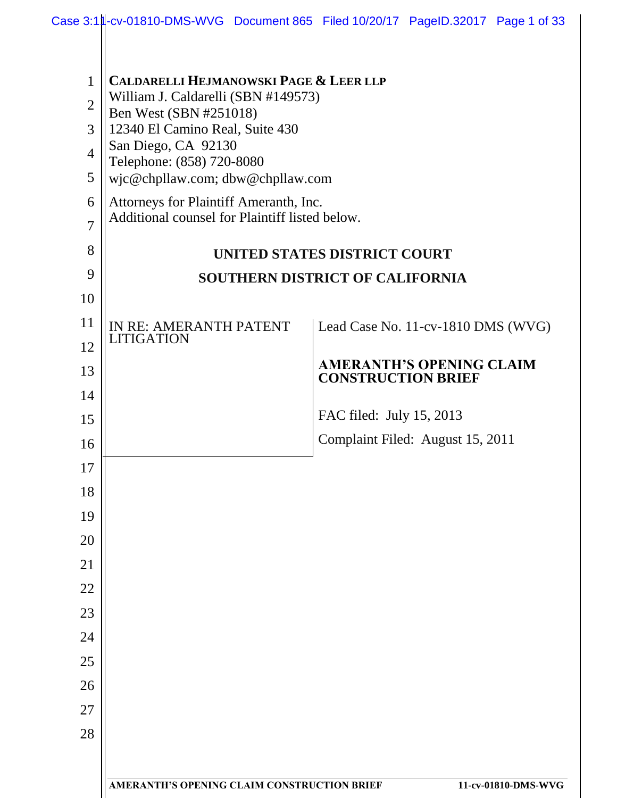| 1                   | <b>CALDARELLI HEJMANOWSKI PAGE &amp; LEER LLP</b><br>William J. Caldarelli (SBN #149573)                      |                                    |  |
|---------------------|---------------------------------------------------------------------------------------------------------------|------------------------------------|--|
| $\overline{2}$      | Ben West (SBN #251018)<br>12340 El Camino Real, Suite 430<br>San Diego, CA 92130<br>Telephone: (858) 720-8080 |                                    |  |
| 3                   |                                                                                                               |                                    |  |
| $\overline{4}$<br>5 |                                                                                                               |                                    |  |
| 6                   | wjc@chpllaw.com; dbw@chpllaw.com                                                                              |                                    |  |
| $\overline{7}$      | Attorneys for Plaintiff Ameranth, Inc.<br>Additional counsel for Plaintiff listed below.                      |                                    |  |
| 8                   |                                                                                                               | UNITED STATES DISTRICT COURT       |  |
| 9                   | <b>SOUTHERN DISTRICT OF CALIFORNIA</b>                                                                        |                                    |  |
| 10                  |                                                                                                               |                                    |  |
| 11                  | IN RE: AMERANTH PATENT<br><b>LITIGATION</b>                                                                   | Lead Case No. 11-cv-1810 DMS (WVG) |  |
| 12                  |                                                                                                               | <b>AMERANTH'S OPENING CLAIM</b>    |  |
| 13                  |                                                                                                               | <b>CONSTRUCTION BRIEF</b>          |  |
| 14<br>15            |                                                                                                               | FAC filed: July 15, 2013           |  |
| 16                  |                                                                                                               | Complaint Filed: August 15, 2011   |  |
| 17                  |                                                                                                               |                                    |  |
| 18                  |                                                                                                               |                                    |  |
| 19                  |                                                                                                               |                                    |  |
| 20                  |                                                                                                               |                                    |  |
| 21                  |                                                                                                               |                                    |  |
| 22                  |                                                                                                               |                                    |  |
| 23                  |                                                                                                               |                                    |  |
| 24                  |                                                                                                               |                                    |  |
| 25                  |                                                                                                               |                                    |  |
| 26                  |                                                                                                               |                                    |  |
| 27                  |                                                                                                               |                                    |  |
| 28                  |                                                                                                               |                                    |  |
|                     |                                                                                                               |                                    |  |
|                     | <b>AMERANTH'S OPENING CLAIM CONSTRUCTION BRIEF</b>                                                            | 11-cv-01810-DMS-WVG                |  |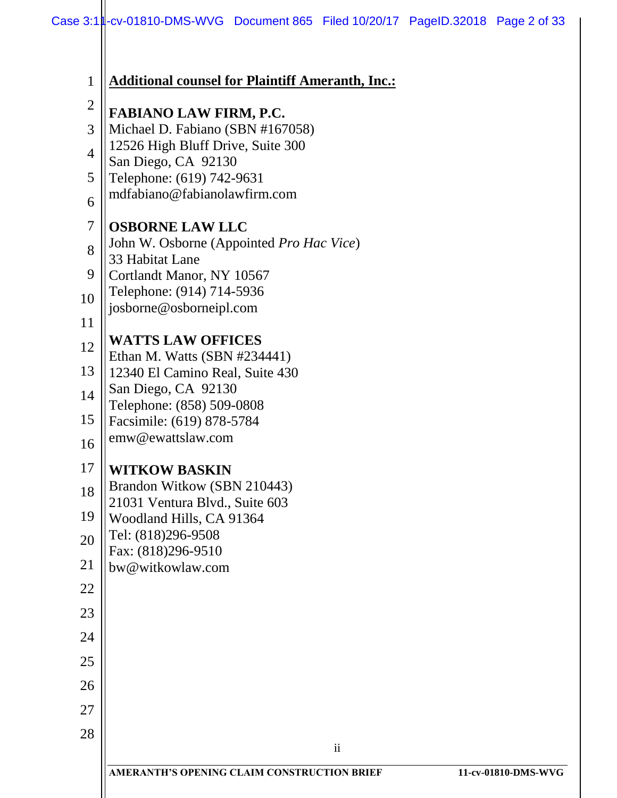| <b>FABIANO LAW FIRM, P.C.</b>            |                                                                                                                                                                                                                                                                                                                                                           |
|------------------------------------------|-----------------------------------------------------------------------------------------------------------------------------------------------------------------------------------------------------------------------------------------------------------------------------------------------------------------------------------------------------------|
| Michael D. Fabiano (SBN #167058)         |                                                                                                                                                                                                                                                                                                                                                           |
|                                          |                                                                                                                                                                                                                                                                                                                                                           |
|                                          |                                                                                                                                                                                                                                                                                                                                                           |
| mdfabiano@fabianolawfirm.com             |                                                                                                                                                                                                                                                                                                                                                           |
| <b>OSBORNE LAW LLC</b>                   |                                                                                                                                                                                                                                                                                                                                                           |
| John W. Osborne (Appointed Pro Hac Vice) |                                                                                                                                                                                                                                                                                                                                                           |
|                                          |                                                                                                                                                                                                                                                                                                                                                           |
|                                          |                                                                                                                                                                                                                                                                                                                                                           |
| josborne@osborneipl.com                  |                                                                                                                                                                                                                                                                                                                                                           |
|                                          |                                                                                                                                                                                                                                                                                                                                                           |
| Ethan M. Watts (SBN #234441)             |                                                                                                                                                                                                                                                                                                                                                           |
| 12340 El Camino Real, Suite 430          |                                                                                                                                                                                                                                                                                                                                                           |
|                                          |                                                                                                                                                                                                                                                                                                                                                           |
|                                          |                                                                                                                                                                                                                                                                                                                                                           |
| emw@ewattslaw.com                        |                                                                                                                                                                                                                                                                                                                                                           |
|                                          |                                                                                                                                                                                                                                                                                                                                                           |
| Brandon Witkow (SBN 210443)              |                                                                                                                                                                                                                                                                                                                                                           |
| 21031 Ventura Blvd., Suite 603           |                                                                                                                                                                                                                                                                                                                                                           |
|                                          |                                                                                                                                                                                                                                                                                                                                                           |
| Fax: (818)296-9510                       |                                                                                                                                                                                                                                                                                                                                                           |
| bw@witkowlaw.com                         |                                                                                                                                                                                                                                                                                                                                                           |
|                                          |                                                                                                                                                                                                                                                                                                                                                           |
|                                          |                                                                                                                                                                                                                                                                                                                                                           |
|                                          |                                                                                                                                                                                                                                                                                                                                                           |
|                                          |                                                                                                                                                                                                                                                                                                                                                           |
|                                          |                                                                                                                                                                                                                                                                                                                                                           |
|                                          |                                                                                                                                                                                                                                                                                                                                                           |
| $\rm ii$                                 |                                                                                                                                                                                                                                                                                                                                                           |
|                                          | 12526 High Bluff Drive, Suite 300<br>San Diego, CA 92130<br>Telephone: (619) 742-9631<br>33 Habitat Lane<br>Cortlandt Manor, NY 10567<br>Telephone: (914) 714-5936<br><b>WATTS LAW OFFICES</b><br>San Diego, CA 92130<br>Telephone: (858) 509-0808<br>Facsimile: (619) 878-5784<br><b>WITKOW BASKIN</b><br>Woodland Hills, CA 91364<br>Tel: (818)296-9508 |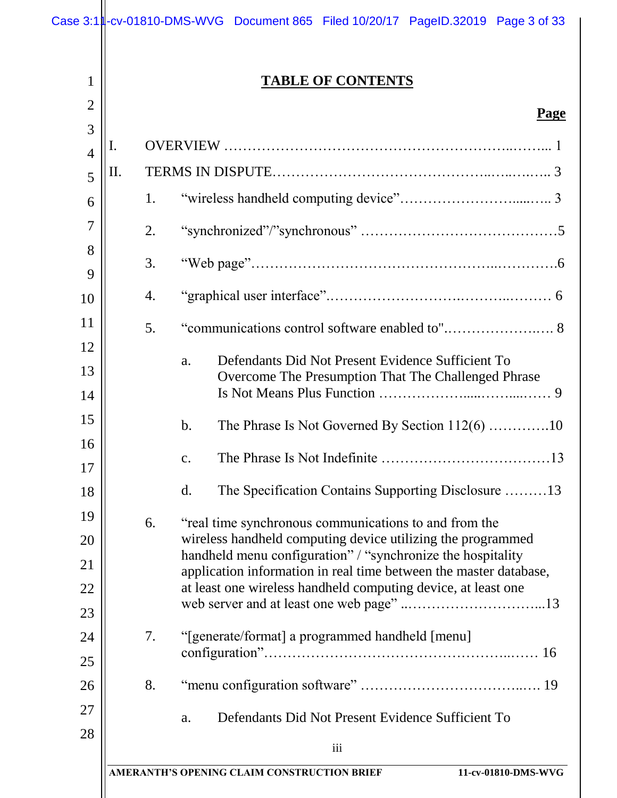1

2

# **TABLE OF CONTENTS**

#### **Page**

| 3              |    |    | <u>i agu</u>                                                                                                               |
|----------------|----|----|----------------------------------------------------------------------------------------------------------------------------|
| $\overline{4}$ | I. |    |                                                                                                                            |
| 5              | Π. |    |                                                                                                                            |
| 6              |    | 1. |                                                                                                                            |
| 7              |    | 2. |                                                                                                                            |
| 8              |    |    |                                                                                                                            |
| 9              |    | 3. |                                                                                                                            |
| 10             |    | 4. |                                                                                                                            |
| 11             |    | 5. |                                                                                                                            |
| 12             |    |    | Defendants Did Not Present Evidence Sufficient To                                                                          |
| 13             |    |    | a.<br>Overcome The Presumption That The Challenged Phrase                                                                  |
| 14             |    |    |                                                                                                                            |
| 15             |    |    | The Phrase Is Not Governed By Section $112(6)$ 10<br>$\mathbf b$ .                                                         |
| 16             |    |    | $\mathbf{c}$ .                                                                                                             |
| 17             |    |    |                                                                                                                            |
| 18             |    |    | d.<br>The Specification Contains Supporting Disclosure 13                                                                  |
| 19             |    | 6. | "real time synchronous communications to and from the                                                                      |
| 20             |    |    | wireless handheld computing device utilizing the programmed<br>handheld menu configuration" / "synchronize the hospitality |
| 21             |    |    | application information in real time between the master database,                                                          |
| 22             |    |    | at least one wireless handheld computing device, at least one                                                              |
| 23             |    |    |                                                                                                                            |
| 24             |    | 7. | "[generate/format] a programmed handheld [menu]                                                                            |
| 25             |    |    |                                                                                                                            |
| 26             |    | 8. |                                                                                                                            |
| 27<br>28       |    |    | Defendants Did Not Present Evidence Sufficient To<br>a.                                                                    |
|                |    |    | iii                                                                                                                        |
|                |    |    | <b>AMERANTH'S OPENING CLAIM CONSTRUCTION BRIEF</b><br>11-cv-01810-DMS-WVG                                                  |
|                |    |    |                                                                                                                            |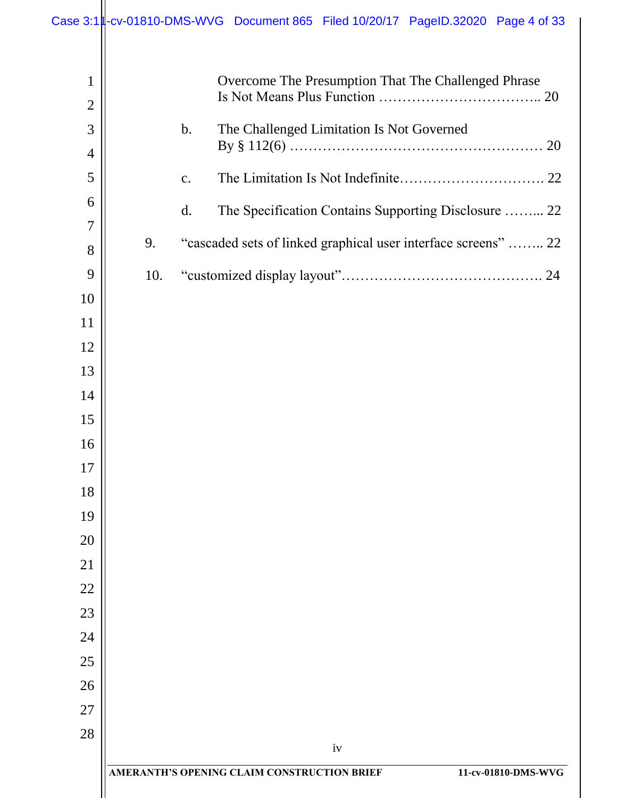| 1<br>$\overline{2}$ |     | Overcome The Presumption That The Challenged Phrase                       |
|---------------------|-----|---------------------------------------------------------------------------|
| 3                   |     | $\mathbf b$ .<br>The Challenged Limitation Is Not Governed                |
| $\overline{4}$      |     |                                                                           |
| 5                   |     | $\mathbf{C}$ .                                                            |
| 6                   |     |                                                                           |
| 7                   |     | d.<br>The Specification Contains Supporting Disclosure  22                |
| 8                   | 9.  | "cascaded sets of linked graphical user interface screens"  22            |
| 9                   | 10. |                                                                           |
| 10                  |     |                                                                           |
| 11                  |     |                                                                           |
| 12                  |     |                                                                           |
| 13                  |     |                                                                           |
| 14                  |     |                                                                           |
| 15                  |     |                                                                           |
| 16                  |     |                                                                           |
| 17                  |     |                                                                           |
| 18                  |     |                                                                           |
| 19                  |     |                                                                           |
| 20                  |     |                                                                           |
| 21                  |     |                                                                           |
| 22                  |     |                                                                           |
| 23                  |     |                                                                           |
| 24                  |     |                                                                           |
| 25                  |     |                                                                           |
| 26                  |     |                                                                           |
| 27                  |     |                                                                           |
| 28                  |     | iv                                                                        |
|                     |     | <b>AMERANTH'S OPENING CLAIM CONSTRUCTION BRIEF</b><br>11-cv-01810-DMS-WVG |
|                     |     |                                                                           |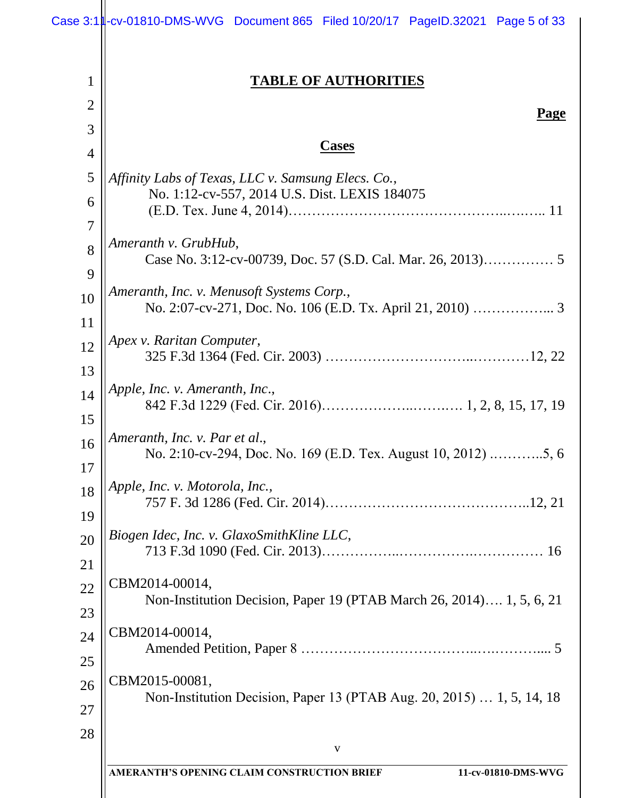1

2

3

# **TABLE OF AUTHORITIES**

# **Cases**

| 4                   | Cases                                                                                               |
|---------------------|-----------------------------------------------------------------------------------------------------|
| 5                   | Affinity Labs of Texas, LLC v. Samsung Elecs. Co.,<br>No. 1:12-cv-557, 2014 U.S. Dist. LEXIS 184075 |
| 6<br>$\overline{7}$ |                                                                                                     |
| 8                   | Ameranth v. GrubHub,                                                                                |
| 9                   |                                                                                                     |
| 10                  | Ameranth, Inc. v. Menusoft Systems Corp.,                                                           |
| 11                  |                                                                                                     |
| 12                  | Apex v. Raritan Computer,                                                                           |
| 13                  | Apple, Inc. v. Ameranth, Inc.,                                                                      |
| 14<br>15            |                                                                                                     |
| 16                  | Ameranth, Inc. v. Par et al.,                                                                       |
| 17                  |                                                                                                     |
| 18                  | Apple, Inc. v. Motorola, Inc.,                                                                      |
| 19                  |                                                                                                     |
| 20                  | Biogen Idec, Inc. v. GlaxoSmithKline LLC,                                                           |
| 21                  |                                                                                                     |
| 22                  | CBM2014-00014,<br>Non-Institution Decision, Paper 19 (PTAB March 26, 2014) 1, 5, 6, 21              |
| 23                  |                                                                                                     |
| 24                  | CBM2014-00014,                                                                                      |
| 25                  |                                                                                                     |
| 26                  | CBM2015-00081,<br>Non-Institution Decision, Paper 13 (PTAB Aug. 20, 2015)  1, 5, 14, 18             |
| 27                  |                                                                                                     |
| 28                  | $\mathbf V$                                                                                         |
|                     | AMERANTH'S OPENING CLAIM CONSTRUCTION BRIEF<br>11-cv-01810-DMS-WVG                                  |
|                     |                                                                                                     |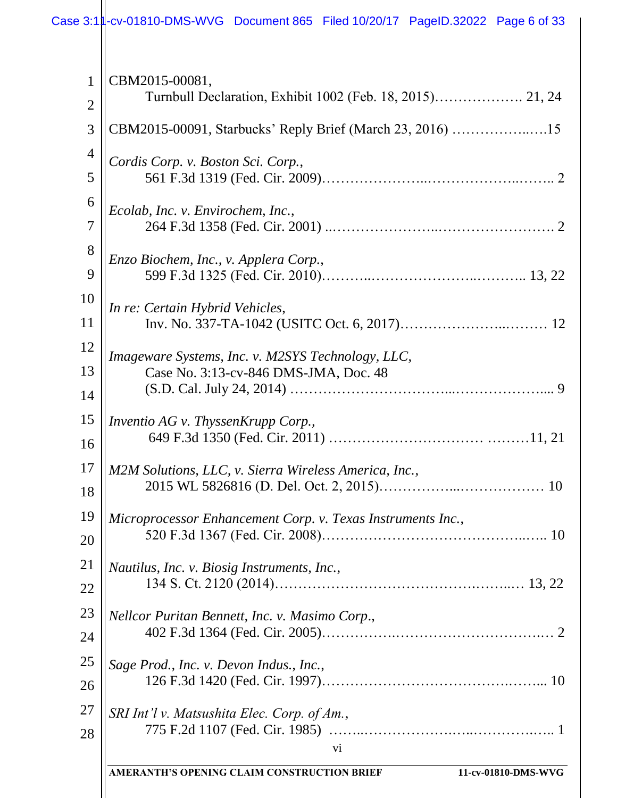|    | <b>AMERANTH'S OPENING CLAIM CONSTRUCTION BRIEF</b>          |
|----|-------------------------------------------------------------|
|    | vi                                                          |
|    | SRI Int'l v. Matsushita Elec. Corp. of Am.,                 |
|    | Sage Prod., Inc. v. Devon Indus., Inc.,                     |
|    |                                                             |
|    | Nellcor Puritan Bennett, Inc. v. Masimo Corp.,              |
|    | Nautilus, Inc. v. Biosig Instruments, Inc.,                 |
|    |                                                             |
| 19 | Microprocessor Enhancement Corp. v. Texas Instruments Inc., |
|    |                                                             |
|    | M2M Solutions, LLC, v. Sierra Wireless America, Inc.,       |
|    | Inventio AG v. ThyssenKrupp Corp.,                          |
|    |                                                             |
|    | Case No. 3:13-cv-846 DMS-JMA, Doc. 48                       |
|    | Imageware Systems, Inc. v. M2SYS Technology, LLC,           |
|    |                                                             |
|    | In re: Certain Hybrid Vehicles,                             |
|    | Enzo Biochem, Inc., v. Applera Corp.,                       |
|    |                                                             |
|    | Ecolab, Inc. v. Envirochem, Inc.,                           |
|    |                                                             |
|    | Cordis Corp. v. Boston Sci. Corp.,                          |
|    | CBM2015-00091, Starbucks' Reply Brief (March 23, 2016) 15   |
|    |                                                             |
|    | CBM2015-00081,                                              |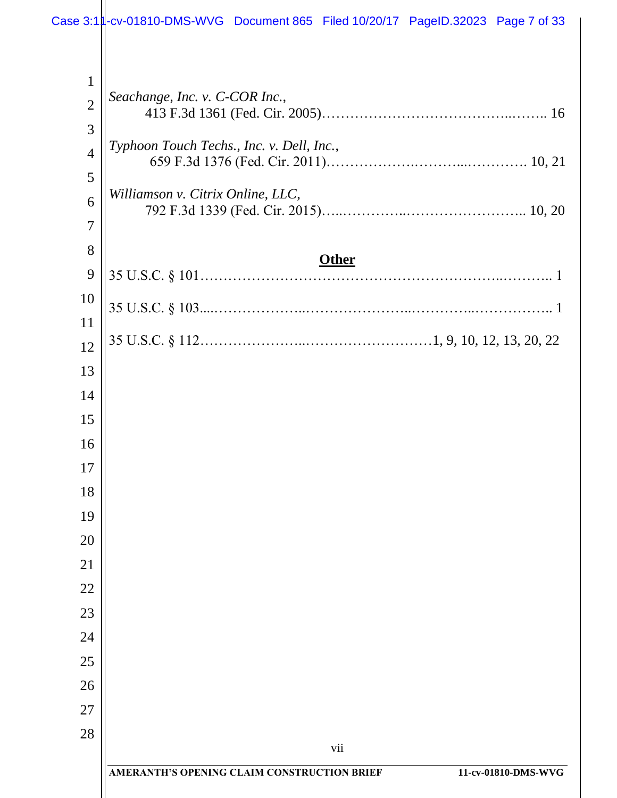| $\mathbf{1}$   |                                                                    |
|----------------|--------------------------------------------------------------------|
| $\overline{2}$ | Seachange, Inc. v. C-COR Inc.,                                     |
| 3              |                                                                    |
| $\overline{4}$ | Typhoon Touch Techs., Inc. v. Dell, Inc.,                          |
| 5              |                                                                    |
| 6              | Williamson v. Citrix Online, LLC,                                  |
| $\overline{7}$ |                                                                    |
| 8              | <b>Other</b>                                                       |
| 9              |                                                                    |
| 10             |                                                                    |
| 11<br>12       |                                                                    |
| 13             |                                                                    |
| 14             |                                                                    |
| 15             |                                                                    |
| 16             |                                                                    |
| 17             |                                                                    |
| 18             |                                                                    |
| 19             |                                                                    |
| 20             |                                                                    |
| 21             |                                                                    |
| 22             |                                                                    |
| 23             |                                                                    |
| 24             |                                                                    |
| 25             |                                                                    |
| 26             |                                                                    |
| 27             |                                                                    |
| 28             | vii                                                                |
|                | AMERANTH'S OPENING CLAIM CONSTRUCTION BRIEF<br>11-cv-01810-DMS-WVG |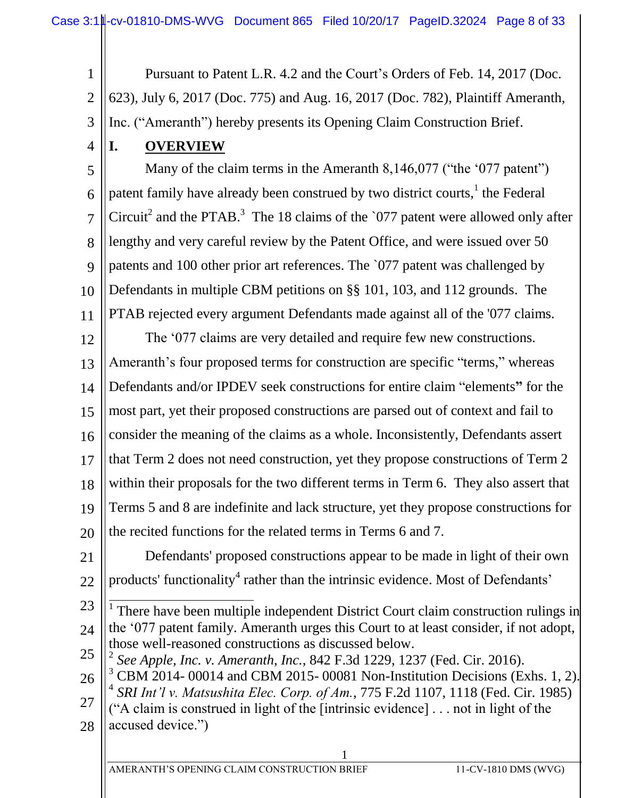1 2 3 Pursuant to Patent L.R. 4.2 and the Court's Orders of Feb. 14, 2017 (Doc. 623), July 6, 2017 (Doc. 775) and Aug. 16, 2017 (Doc. 782), Plaintiff Ameranth, Inc. ("Ameranth") hereby presents its Opening Claim Construction Brief.

**I. OVERVIEW**

4

5 6 7 8 9 10 11 Many of the claim terms in the Ameranth 8,146,077 ("the '077 patent") patent family have already been construed by two district courts,  $\frac{1}{1}$  the Federal Circuit<sup>2</sup> and the PTAB.<sup>3</sup> The 18 claims of the `077 patent were allowed only after lengthy and very careful review by the Patent Office, and were issued over 50 patents and 100 other prior art references. The `077 patent was challenged by Defendants in multiple CBM petitions on §§ 101, 103, and 112 grounds. The PTAB rejected every argument Defendants made against all of the '077 claims.

12 13 14 15 16 17 18 19 20 The '077 claims are very detailed and require few new constructions. Ameranth's four proposed terms for construction are specific "terms," whereas Defendants and/or IPDEV seek constructions for entire claim "elements**"** for the most part, yet their proposed constructions are parsed out of context and fail to consider the meaning of the claims as a whole. Inconsistently, Defendants assert that Term 2 does not need construction, yet they propose constructions of Term 2 within their proposals for the two different terms in Term 6. They also assert that Terms 5 and 8 are indefinite and lack structure, yet they propose constructions for the recited functions for the related terms in Terms 6 and 7.

21 22 Defendants' proposed constructions appear to be made in light of their own products' functionality<sup>4</sup> rather than the intrinsic evidence. Most of Defendants'

- 23 24 <sup>1</sup> There have been multiple independent District Court claim construction rulings in the '077 patent family. Ameranth urges this Court to at least consider, if not adopt, those well-reasoned constructions as discussed below.
- 25 2 *See Apple, Inc. v. Ameranth, Inc.*, 842 F.3d 1229, 1237 (Fed. Cir. 2016).
- 26 27 28  $3$  CBM 2014-00014 and CBM 2015-00081 Non-Institution Decisions (Exhs. 1, 2). 4 *SRI Int'l v. Matsushita Elec. Corp. of Am.*, 775 F.2d 1107, 1118 (Fed. Cir. 1985) ("A claim is construed in light of the [intrinsic evidence] . . . not in light of the accused device.")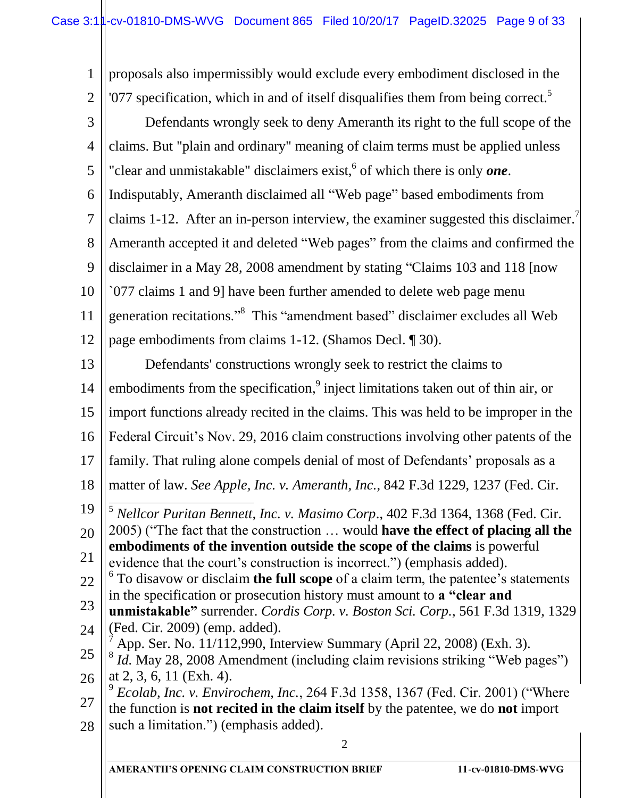2 1 2 3 4 5 6 7 8 9 10 11 12 13 14 15 16 17 18 19 20 21 22 23 24 25 26 27 28 proposals also impermissibly would exclude every embodiment disclosed in the  $'077$  specification, which in and of itself disqualifies them from being correct.<sup>5</sup> Defendants wrongly seek to deny Ameranth its right to the full scope of the claims. But "plain and ordinary" meaning of claim terms must be applied unless "clear and unmistakable" disclaimers exist,<sup>6</sup> of which there is only **one**. Indisputably, Ameranth disclaimed all "Web page" based embodiments from claims 1-12. After an in-person interview, the examiner suggested this disclaimer. Ameranth accepted it and deleted "Web pages" from the claims and confirmed the disclaimer in a May 28, 2008 amendment by stating "Claims 103 and 118 [now `077 claims 1 and 9] have been further amended to delete web page menu generation recitations."<sup>8</sup> This "amendment based" disclaimer excludes all Web page embodiments from claims 1-12. (Shamos Decl. ¶ 30). Defendants' constructions wrongly seek to restrict the claims to embodiments from the specification,<sup>9</sup> inject limitations taken out of thin air, or import functions already recited in the claims. This was held to be improper in the Federal Circuit's Nov. 29, 2016 claim constructions involving other patents of the family. That ruling alone compels denial of most of Defendants' proposals as a matter of law. *See Apple, Inc. v. Ameranth, Inc.*, 842 F.3d 1229, 1237 (Fed. Cir.  $\overline{a}$ <sup>5</sup> *Nellcor Puritan Bennett, Inc. v. Masimo Corp*., 402 F.3d 1364, 1368 (Fed. Cir. 2005) ("The fact that the construction … would **have the effect of placing all the embodiments of the invention outside the scope of the claims** is powerful evidence that the court's construction is incorrect.") (emphasis added). 6 To disavow or disclaim **the full scope** of a claim term, the patentee's statements in the specification or prosecution history must amount to **a "clear and unmistakable"** surrender. *Cordis Corp. v. Boston Sci. Corp.*, 561 F.3d 1319, 1329 (Fed. Cir. 2009) (emp. added).  $^7$  App. Ser. No. 11/112,990, Interview Summary (April 22, 2008) (Exh. 3). <sup>8</sup> *Id.* May 28, 2008 Amendment (including claim revisions striking "Web pages") at 2, 3, 6, 11 (Exh. 4). 9 *Ecolab, Inc. v. Envirochem, Inc.*, 264 F.3d 1358, 1367 (Fed. Cir. 2001) ("Where the function is **not recited in the claim itself** by the patentee, we do **not** import such a limitation.") (emphasis added).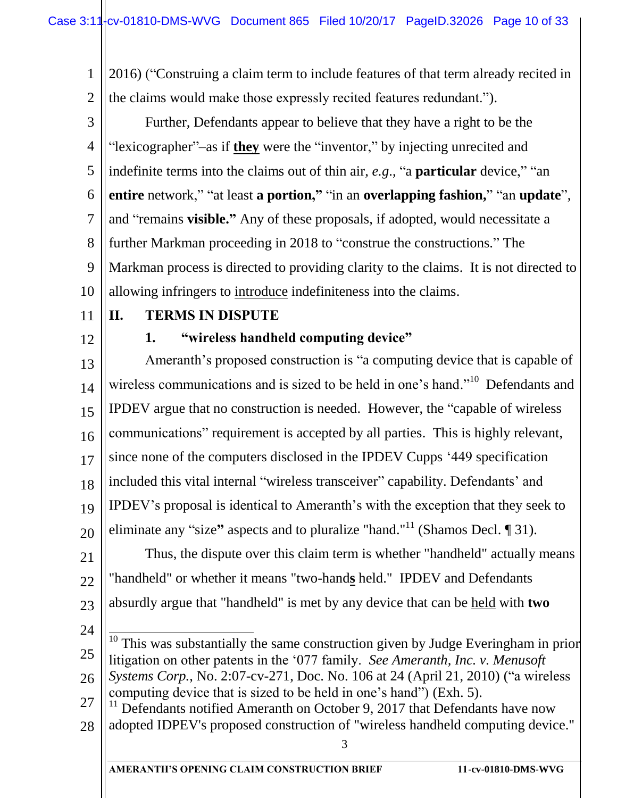1 2 2016) ("Construing a claim term to include features of that term already recited in the claims would make those expressly recited features redundant.").

3 4 5 6 7 8 9 10 Further, Defendants appear to believe that they have a right to be the "lexicographer"–as if **they** were the "inventor," by injecting unrecited and indefinite terms into the claims out of thin air, *e.g*., "a **particular** device," "an **entire** network," "at least **a portion,"** "in an **overlapping fashion,**" "an **update**", and "remains **visible."** Any of these proposals, if adopted, would necessitate a further Markman proceeding in 2018 to "construe the constructions." The Markman process is directed to providing clarity to the claims. It is not directed to allowing infringers to introduce indefiniteness into the claims.

11

# **II. TERMS IN DISPUTE**

12

# **1. "wireless handheld computing device"**

13 14 15 16 17 18 19 20 Ameranth's proposed construction is "a computing device that is capable of wireless communications and is sized to be held in one's hand."<sup>10</sup> Defendants and IPDEV argue that no construction is needed. However, the "capable of wireless communications" requirement is accepted by all parties. This is highly relevant, since none of the computers disclosed in the IPDEV Cupps '449 specification included this vital internal "wireless transceiver" capability. Defendants' and IPDEV's proposal is identical to Ameranth's with the exception that they seek to eliminate any "size**"** aspects and to pluralize "hand."<sup>11</sup> (Shamos Decl. ¶ 31).

21 22 23 Thus, the dispute over this claim term is whether "handheld" actually means "handheld" or whether it means "two-hand**s** held." IPDEV and Defendants absurdly argue that "handheld" is met by any device that can be held with **two**

- 24
- 25  $\frac{1}{1}$ This was substantially the same construction given by Judge Everingham in prior litigation on other patents in the '077 family. *See Ameranth, Inc. v. Menusoft*
- 26 27 *Systems Corp.*, No. 2:07-cv-271, Doc. No. 106 at 24 (April 21, 2010) ("a wireless computing device that is sized to be held in one's hand") (Exh. 5).

28  $11$  Defendants notified Ameranth on October 9, 2017 that Defendants have now adopted IDPEV's proposed construction of "wireless handheld computing device."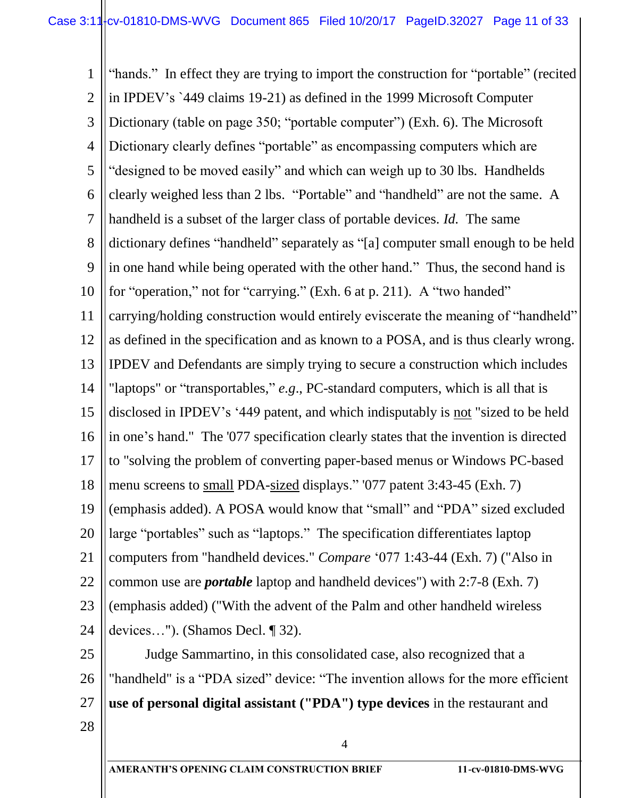1 2 3 4 5 6 7 8 9 10 11 12 13 14 15 16 17 18 19 20 21 22 23 24 "hands." In effect they are trying to import the construction for "portable" (recited in IPDEV's `449 claims 19-21) as defined in the 1999 Microsoft Computer Dictionary (table on page 350; "portable computer") (Exh. 6). The Microsoft Dictionary clearly defines "portable" as encompassing computers which are "designed to be moved easily" and which can weigh up to 30 lbs. Handhelds clearly weighed less than 2 lbs. "Portable" and "handheld" are not the same. A handheld is a subset of the larger class of portable devices. *Id.* The same dictionary defines "handheld" separately as "[a] computer small enough to be held in one hand while being operated with the other hand." Thus, the second hand is for "operation," not for "carrying." (Exh. 6 at p. 211). A "two handed" carrying/holding construction would entirely eviscerate the meaning of "handheld" as defined in the specification and as known to a POSA, and is thus clearly wrong. IPDEV and Defendants are simply trying to secure a construction which includes "laptops" or "transportables," *e.g*., PC-standard computers, which is all that is disclosed in IPDEV's '449 patent, and which indisputably is not "sized to be held in one's hand." The '077 specification clearly states that the invention is directed to "solving the problem of converting paper-based menus or Windows PC-based menu screens to small PDA-sized displays." '077 patent 3:43-45 (Exh. 7) (emphasis added). A POSA would know that "small" and "PDA" sized excluded large "portables" such as "laptops." The specification differentiates laptop computers from "handheld devices." *Compare* '077 1:43-44 (Exh. 7) ("Also in common use are *portable* laptop and handheld devices") with 2:7-8 (Exh. 7) (emphasis added) ("With the advent of the Palm and other handheld wireless devices…"). (Shamos Decl. ¶ 32).

25 26 27 Judge Sammartino, in this consolidated case, also recognized that a "handheld" is a "PDA sized" device: "The invention allows for the more efficient **use of personal digital assistant ("PDA") type devices** in the restaurant and

4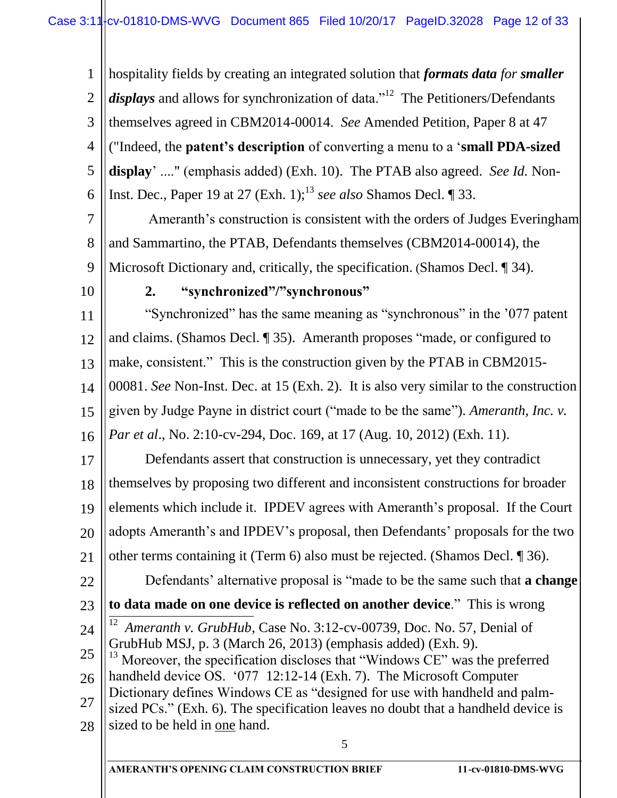1 2 3 4 5 6 hospitality fields by creating an integrated solution that *formats data for smaller*  displays and allows for synchronization of data."<sup>12</sup> The Petitioners/Defendants themselves agreed in CBM2014-00014. *See* Amended Petition, Paper 8 at 47 ("Indeed, the **patent's description** of converting a menu to a '**small PDA-sized display**' ...." (emphasis added) (Exh. 10). The PTAB also agreed. *See Id.* Non-Inst. Dec., Paper 19 at 27  $(Exh. 1)$ ;<sup>13</sup> *see also* Shamos Decl.  $\P$  33.

7 8 9 Ameranth's construction is consistent with the orders of Judges Everingham and Sammartino, the PTAB, Defendants themselves (CBM2014-00014), the Microsoft Dictionary and, critically, the specification. (Shamos Decl. ¶ 34).

10

23

### **2. "synchronized"/"synchronous"**

11 12 13 14 15 16 "Synchronized" has the same meaning as "synchronous" in the '077 patent and claims. (Shamos Decl. ¶ 35). Ameranth proposes "made, or configured to make, consistent." This is the construction given by the PTAB in CBM2015- 00081. *See* Non-Inst. Dec. at 15 (Exh. 2). It is also very similar to the construction given by Judge Payne in district court ("made to be the same"). *Ameranth, Inc. v. Par et al*., No. 2:10-cv-294, Doc. 169, at 17 (Aug. 10, 2012) (Exh. 11).

17 18 19 20 21 Defendants assert that construction is unnecessary, yet they contradict themselves by proposing two different and inconsistent constructions for broader elements which include it. IPDEV agrees with Ameranth's proposal. If the Court adopts Ameranth's and IPDEV's proposal, then Defendants' proposals for the two other terms containing it (Term 6) also must be rejected. (Shamos Decl. ¶ 36).

22 Defendants' alternative proposal is "made to be the same such that **a change** 

- **to data made on one device is reflected on another device**." This is wrong  $\frac{1}{1}$
- 24 12 *Ameranth v. GrubHub*, Case No. 3:12-cv-00739, Doc. No. 57, Denial of GrubHub MSJ, p. 3 (March 26, 2013) (emphasis added) (Exh. 9).
- 25 26 27  $13$  Moreover, the specification discloses that "Windows CE" was the preferred handheld device OS. '077 12:12-14 (Exh. 7). The Microsoft Computer Dictionary defines Windows CE as "designed for use with handheld and palmsized PCs." (Exh. 6). The specification leaves no doubt that a handheld device is
- 28 sized to be held in one hand.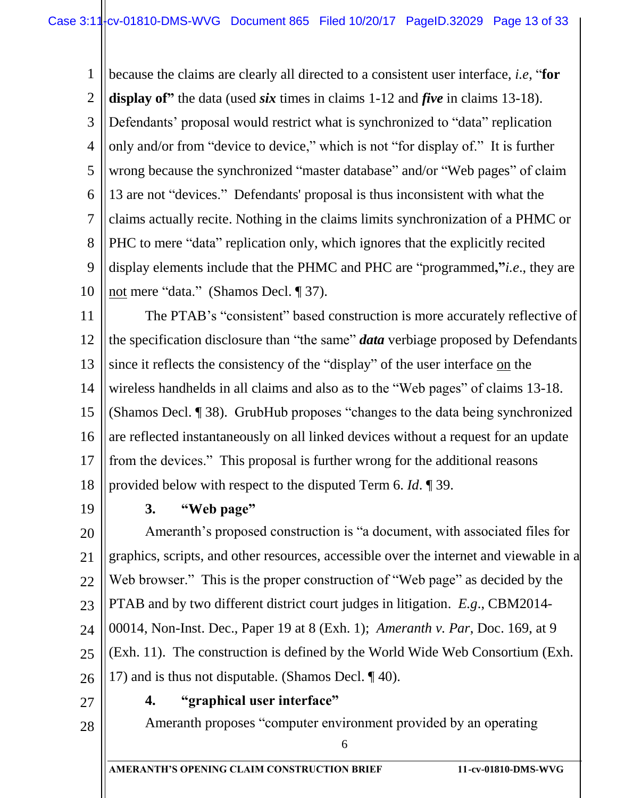1 2 3 4 5 6 7 8 9 10 because the claims are clearly all directed to a consistent user interface, *i.e*, "**for display of"** the data (used *six* times in claims 1-12 and *five* in claims 13-18). Defendants' proposal would restrict what is synchronized to "data" replication only and/or from "device to device," which is not "for display of." It is further wrong because the synchronized "master database" and/or "Web pages" of claim 13 are not "devices." Defendants' proposal is thus inconsistent with what the claims actually recite. Nothing in the claims limits synchronization of a PHMC or PHC to mere "data" replication only, which ignores that the explicitly recited display elements include that the PHMC and PHC are "programmed**,"***i.e*., they are not mere "data." (Shamos Decl. ¶ 37).

11 12 13 14 15 16 17 18 The PTAB's "consistent" based construction is more accurately reflective of the specification disclosure than "the same" *data* verbiage proposed by Defendants since it reflects the consistency of the "display" of the user interface on the wireless handhelds in all claims and also as to the "Web pages" of claims 13-18. (Shamos Decl. ¶ 38). GrubHub proposes "changes to the data being synchronized are reflected instantaneously on all linked devices without a request for an update from the devices." This proposal is further wrong for the additional reasons provided below with respect to the disputed Term 6. *Id*. ¶ 39.

19

# **3. "Web page"**

20 21 22 23 24 25 26 Ameranth's proposed construction is "a document, with associated files for graphics, scripts, and other resources, accessible over the internet and viewable in a Web browser." This is the proper construction of "Web page" as decided by the PTAB and by two different district court judges in litigation. *E.g*., CBM2014- 00014, Non-Inst. Dec., Paper 19 at 8 (Exh. 1); *Ameranth v. Par*, Doc. 169, at 9 (Exh. 11). The construction is defined by the World Wide Web Consortium (Exh. 17) and is thus not disputable. (Shamos Decl. ¶ 40).

27

**4. "graphical user interface"**

28

Ameranth proposes "computer environment provided by an operating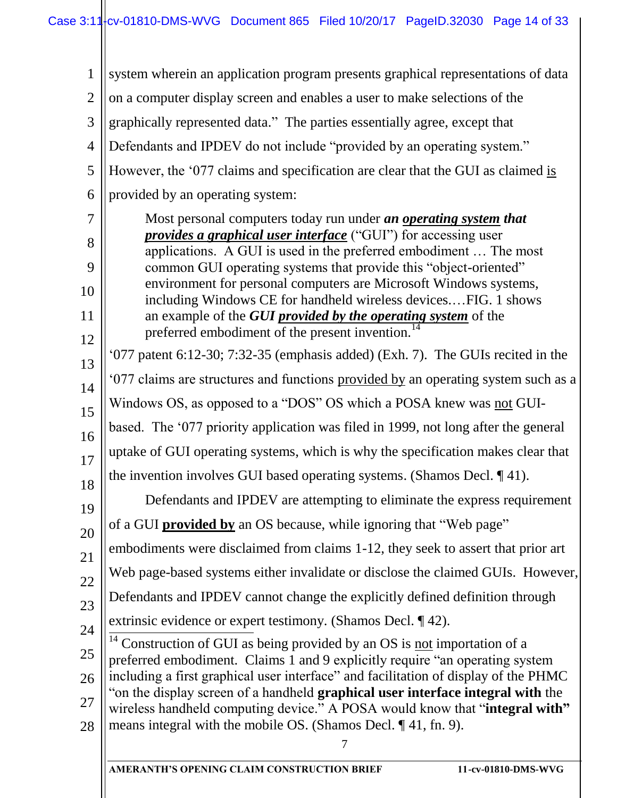| system wherein an application program presents graphical representations of data<br>$\overline{2}$<br>on a computer display screen and enables a user to make selections of the<br>3<br>graphically represented data." The parties essentially agree, except that<br>Defendants and IPDEV do not include "provided by an operating system."<br>$\overline{4}$<br>5<br>However, the '077 claims and specification are clear that the GUI as claimed is<br>6<br>provided by an operating system:<br>Most personal computers today run under an operating system that<br><i>provides a graphical user interface</i> ("GUI") for accessing user<br>8 |  |
|--------------------------------------------------------------------------------------------------------------------------------------------------------------------------------------------------------------------------------------------------------------------------------------------------------------------------------------------------------------------------------------------------------------------------------------------------------------------------------------------------------------------------------------------------------------------------------------------------------------------------------------------------|--|
|                                                                                                                                                                                                                                                                                                                                                                                                                                                                                                                                                                                                                                                  |  |
|                                                                                                                                                                                                                                                                                                                                                                                                                                                                                                                                                                                                                                                  |  |
|                                                                                                                                                                                                                                                                                                                                                                                                                                                                                                                                                                                                                                                  |  |
|                                                                                                                                                                                                                                                                                                                                                                                                                                                                                                                                                                                                                                                  |  |
|                                                                                                                                                                                                                                                                                                                                                                                                                                                                                                                                                                                                                                                  |  |
|                                                                                                                                                                                                                                                                                                                                                                                                                                                                                                                                                                                                                                                  |  |
| applications. A GUI is used in the preferred embodiment  The most                                                                                                                                                                                                                                                                                                                                                                                                                                                                                                                                                                                |  |
| common GUI operating systems that provide this "object-oriented"                                                                                                                                                                                                                                                                                                                                                                                                                                                                                                                                                                                 |  |
| environment for personal computers are Microsoft Windows systems,                                                                                                                                                                                                                                                                                                                                                                                                                                                                                                                                                                                |  |
| including Windows CE for handheld wireless devicesFIG. 1 shows<br>an example of the <b>GUI</b> provided by the operating system of the<br>preferred embodiment of the present invention.                                                                                                                                                                                                                                                                                                                                                                                                                                                         |  |
| $077$ patent 6:12-30; 7:32-35 (emphasis added) (Exh. 7). The GUIs recited in the                                                                                                                                                                                                                                                                                                                                                                                                                                                                                                                                                                 |  |
| '077 claims are structures and functions provided by an operating system such as a                                                                                                                                                                                                                                                                                                                                                                                                                                                                                                                                                               |  |
| Windows OS, as opposed to a "DOS" OS which a POSA knew was not GUI-                                                                                                                                                                                                                                                                                                                                                                                                                                                                                                                                                                              |  |
| based. The '077 priority application was filed in 1999, not long after the general                                                                                                                                                                                                                                                                                                                                                                                                                                                                                                                                                               |  |
| uptake of GUI operating systems, which is why the specification makes clear that                                                                                                                                                                                                                                                                                                                                                                                                                                                                                                                                                                 |  |
| the invention involves GUI based operating systems. (Shamos Decl. $\P$ 41).                                                                                                                                                                                                                                                                                                                                                                                                                                                                                                                                                                      |  |
| Defendants and IPDEV are attempting to eliminate the express requirement                                                                                                                                                                                                                                                                                                                                                                                                                                                                                                                                                                         |  |
| of a GUI <b>provided by</b> an OS because, while ignoring that "Web page"                                                                                                                                                                                                                                                                                                                                                                                                                                                                                                                                                                        |  |
| embodiments were disclaimed from claims 1-12, they seek to assert that prior art                                                                                                                                                                                                                                                                                                                                                                                                                                                                                                                                                                 |  |
| Web page-based systems either invalidate or disclose the claimed GUIs. However,                                                                                                                                                                                                                                                                                                                                                                                                                                                                                                                                                                  |  |
| Defendants and IPDEV cannot change the explicitly defined definition through                                                                                                                                                                                                                                                                                                                                                                                                                                                                                                                                                                     |  |
| extrinsic evidence or expert testimony. (Shamos Decl. ¶ 42).                                                                                                                                                                                                                                                                                                                                                                                                                                                                                                                                                                                     |  |
| $14$ Construction of GUI as being provided by an OS is not importation of a<br>preferred embodiment. Claims 1 and 9 explicitly require "an operating system<br>including a first graphical user interface" and facilitation of display of the PHMC<br>"on the display screen of a handheld graphical user interface integral with the<br>wireless handheld computing device." A POSA would know that "integral with"<br>means integral with the mobile OS. (Shamos Decl. ¶ 41, fn. 9).                                                                                                                                                           |  |
|                                                                                                                                                                                                                                                                                                                                                                                                                                                                                                                                                                                                                                                  |  |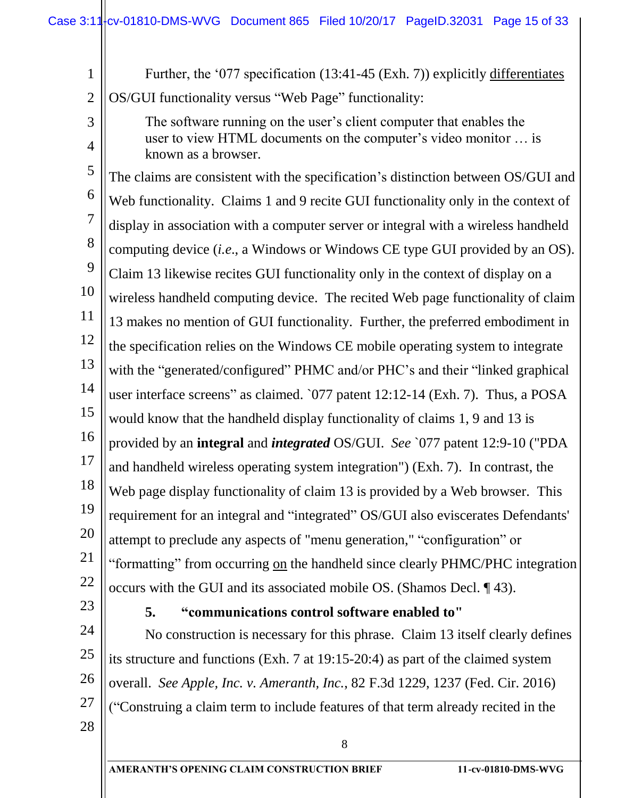| $\mathbf{1}$   | Further, the '077 specification (13:41-45 (Exh. 7)) explicitly differentiates              |
|----------------|--------------------------------------------------------------------------------------------|
| $\overline{2}$ | OS/GUI functionality versus "Web Page" functionality:                                      |
| 3              | The software running on the user's client computer that enables the                        |
| 4              | user to view HTML documents on the computer's video monitor  is<br>known as a browser.     |
| 5              | The claims are consistent with the specification's distinction between OS/GUI and          |
| 6              | Web functionality. Claims 1 and 9 recite GUI functionality only in the context of          |
| 7              | display in association with a computer server or integral with a wireless handheld         |
| 8              | computing device <i>(i.e., a Windows or Windows CE type GUI provided by an OS)</i> .       |
| 9              | Claim 13 likewise recites GUI functionality only in the context of display on a            |
| 10             | wireless handheld computing device. The recited Web page functionality of claim            |
| 11             | 13 makes no mention of GUI functionality. Further, the preferred embodiment in             |
| 12             | the specification relies on the Windows CE mobile operating system to integrate            |
| 13             | with the "generated/configured" PHMC and/or PHC's and their "linked graphical              |
| 14             | user interface screens" as claimed. `077 patent 12:12-14 (Exh. 7). Thus, a POSA            |
| 15             | would know that the handheld display functionality of claims 1, 9 and 13 is                |
| 16             | provided by an <b>integral</b> and <i>integrated</i> OS/GUI. See `077 patent 12:9-10 ("PDA |
| 17             | and handheld wireless operating system integration") (Exh. 7). In contrast, the            |
| 18             | Web page display functionality of claim 13 is provided by a Web browser. This              |
| 19             | requirement for an integral and "integrated" OS/GUI also eviscerates Defendants'           |
| 20             | attempt to preclude any aspects of "menu generation," "configuration" or                   |
| 21             | "formatting" from occurring on the handheld since clearly PHMC/PHC integration             |
| 22<br>23       | occurs with the GUI and its associated mobile OS. (Shamos Decl. 143).                      |
|                | 5.<br>"communications control software enabled to"                                         |
| 24             | No construction is necessary for this phrase Claim 13 itself clearly defines               |

25 26 27 No construction is necessary for this phrase. Claim 13 itself clearly defines its structure and functions (Exh. 7 at 19:15-20:4) as part of the claimed system overall. *See Apple, Inc. v. Ameranth, Inc.*, 82 F.3d 1229, 1237 (Fed. Cir. 2016) ("Construing a claim term to include features of that term already recited in the

8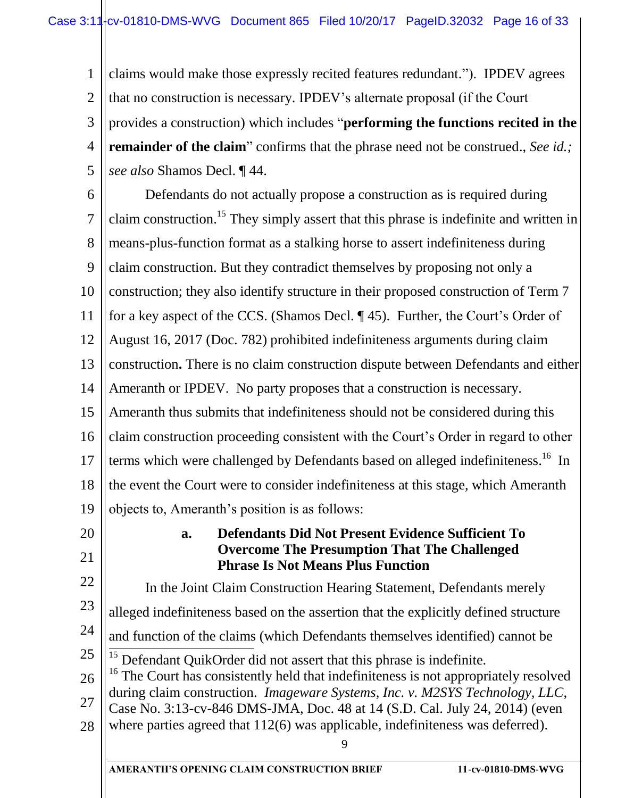1 2 3 4 5 claims would make those expressly recited features redundant."). IPDEV agrees that no construction is necessary. IPDEV's alternate proposal (if the Court provides a construction) which includes "**performing the functions recited in the remainder of the claim**" confirms that the phrase need not be construed., *See id.; see also* Shamos Decl. ¶ 44.

6 7 8 9 10 11 12 13 14 15 16 17 18 19 Defendants do not actually propose a construction as is required during claim construction.<sup>15</sup> They simply assert that this phrase is indefinite and written in means-plus-function format as a stalking horse to assert indefiniteness during claim construction. But they contradict themselves by proposing not only a construction; they also identify structure in their proposed construction of Term 7 for a key aspect of the CCS. (Shamos Decl. ¶ 45). Further, the Court's Order of August 16, 2017 (Doc. 782) prohibited indefiniteness arguments during claim construction**.** There is no claim construction dispute between Defendants and either Ameranth or IPDEV. No party proposes that a construction is necessary. Ameranth thus submits that indefiniteness should not be considered during this claim construction proceeding consistent with the Court's Order in regard to other terms which were challenged by Defendants based on alleged indefiniteness.<sup>16</sup> In the event the Court were to consider indefiniteness at this stage, which Ameranth objects to, Ameranth's position is as follows:

20 21

# **a. Defendants Did Not Present Evidence Sufficient To Overcome The Presumption That The Challenged Phrase Is Not Means Plus Function**

22 23 24 25 26 27 28 In the Joint Claim Construction Hearing Statement, Defendants merely alleged indefiniteness based on the assertion that the explicitly defined structure and function of the claims (which Defendants themselves identified) cannot be  $\overline{1}$  $15$  Defendant QuikOrder did not assert that this phrase is indefinite. <sup>16</sup> The Court has consistently held that indefiniteness is not appropriately resolved during claim construction. *Imageware Systems, Inc. v. M2SYS Technology, LLC*, Case No. 3:13-cv-846 DMS-JMA, Doc. 48 at 14 (S.D. Cal. July 24, 2014) (even where parties agreed that 112(6) was applicable, indefiniteness was deferred).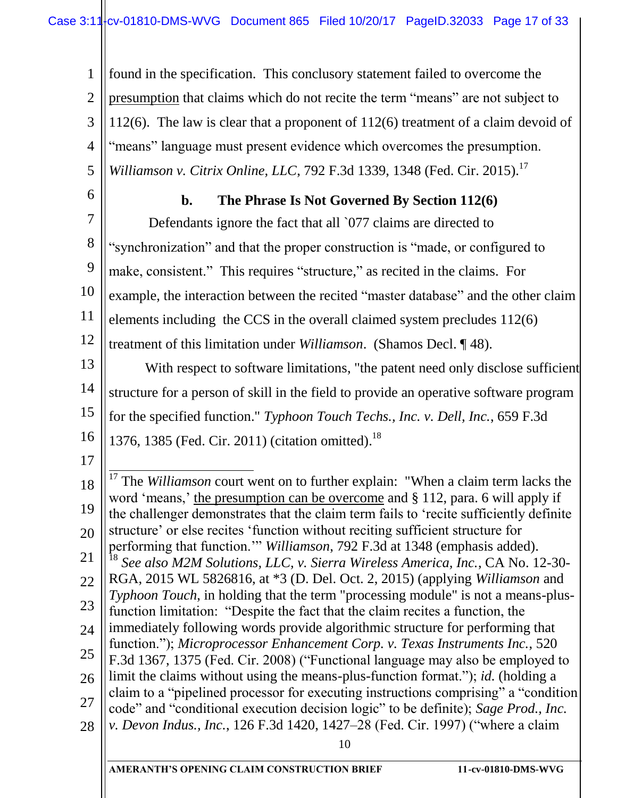1 2 3 4 5 found in the specification. This conclusory statement failed to overcome the presumption that claims which do not recite the term "means" are not subject to 112(6). The law is clear that a proponent of 112(6) treatment of a claim devoid of "means" language must present evidence which overcomes the presumption. *Williamson v. Citrix Online, LLC, 792 F.3d 1339, 1348 (Fed. Cir. 2015).*<sup>17</sup>

6

# **b. The Phrase Is Not Governed By Section 112(6)**

7 8 9 10 11 12 Defendants ignore the fact that all '077 claims are directed to "synchronization" and that the proper construction is "made, or configured to make, consistent." This requires "structure," as recited in the claims. For example, the interaction between the recited "master database" and the other claim elements including the CCS in the overall claimed system precludes 112(6) treatment of this limitation under *Williamson*. (Shamos Decl. ¶ 48).

13 14 15 16 With respect to software limitations, "the patent need only disclose sufficient structure for a person of skill in the field to provide an operative software program for the specified function." *Typhoon Touch Techs., Inc. v. Dell, Inc.*, 659 F.3d 1376, 1385 (Fed. Cir. 2011) (citation omitted).<sup>18</sup>

17

10 18 19 20 21 22 23 24 25 26 27 28  $\overline{1}$ <sup>17</sup> The *Williamson* court went on to further explain: "When a claim term lacks the word 'means,' the presumption can be overcome and § 112, para. 6 will apply if the challenger demonstrates that the claim term fails to 'recite sufficiently definite structure' or else recites 'function without reciting sufficient structure for performing that function.'" *Williamson*, 792 F.3d at 1348 (emphasis added). <sup>18</sup> *See also M2M Solutions, LLC, v. Sierra Wireless America, Inc.*, CA No. 12-30- RGA, 2015 WL 5826816, at \*3 (D. Del. Oct. 2, 2015) (applying *Williamson* and *Typhoon Touch*, in holding that the term "processing module" is not a means-plusfunction limitation: "Despite the fact that the claim recites a function, the immediately following words provide algorithmic structure for performing that function."); *Microprocessor Enhancement Corp. v. Texas Instruments Inc.*, 520 F.3d 1367, 1375 (Fed. Cir. 2008) ("Functional language may also be employed to limit the claims without using the means-plus-function format."); *id.* (holding a claim to a "pipelined processor for executing instructions comprising" a "condition code" and "conditional execution decision logic" to be definite); *Sage Prod., Inc. v. Devon Indus., Inc.*, 126 F.3d 1420, 1427–28 (Fed. Cir. 1997) ("where a claim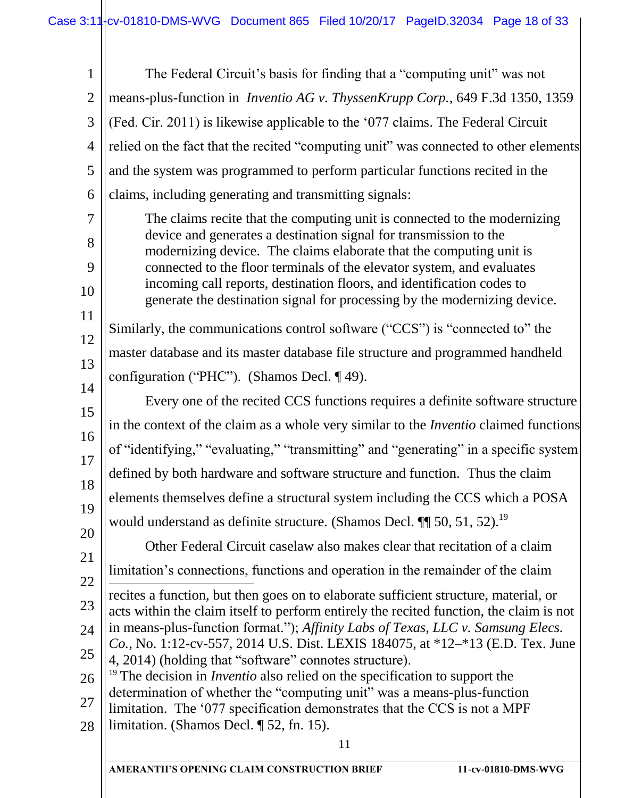| The Federal Circuit's basis for finding that a "computing unit" was not<br>$\overline{2}$<br>means-plus-function in <i>Inventio AG v. ThyssenKrupp Corp.</i> , 649 F.3d 1350, 1359<br>(Fed. Cir. 2011) is likewise applicable to the '077 claims. The Federal Circuit<br>relied on the fact that the recited "computing unit" was connected to other elements<br>$\overline{4}$<br>5<br>and the system was programmed to perform particular functions recited in the<br>claims, including generating and transmitting signals:<br>6<br>The claims recite that the computing unit is connected to the modernizing<br>device and generates a destination signal for transmission to the<br>8 |  |
|--------------------------------------------------------------------------------------------------------------------------------------------------------------------------------------------------------------------------------------------------------------------------------------------------------------------------------------------------------------------------------------------------------------------------------------------------------------------------------------------------------------------------------------------------------------------------------------------------------------------------------------------------------------------------------------------|--|
|                                                                                                                                                                                                                                                                                                                                                                                                                                                                                                                                                                                                                                                                                            |  |
|                                                                                                                                                                                                                                                                                                                                                                                                                                                                                                                                                                                                                                                                                            |  |
|                                                                                                                                                                                                                                                                                                                                                                                                                                                                                                                                                                                                                                                                                            |  |
|                                                                                                                                                                                                                                                                                                                                                                                                                                                                                                                                                                                                                                                                                            |  |
|                                                                                                                                                                                                                                                                                                                                                                                                                                                                                                                                                                                                                                                                                            |  |
|                                                                                                                                                                                                                                                                                                                                                                                                                                                                                                                                                                                                                                                                                            |  |
|                                                                                                                                                                                                                                                                                                                                                                                                                                                                                                                                                                                                                                                                                            |  |
| modernizing device. The claims elaborate that the computing unit is<br>connected to the floor terminals of the elevator system, and evaluates                                                                                                                                                                                                                                                                                                                                                                                                                                                                                                                                              |  |
| incoming call reports, destination floors, and identification codes to<br>generate the destination signal for processing by the modernizing device.                                                                                                                                                                                                                                                                                                                                                                                                                                                                                                                                        |  |
| Similarly, the communications control software ("CCS") is "connected to" the                                                                                                                                                                                                                                                                                                                                                                                                                                                                                                                                                                                                               |  |
| master database and its master database file structure and programmed handheld                                                                                                                                                                                                                                                                                                                                                                                                                                                                                                                                                                                                             |  |
| configuration ("PHC"). (Shamos Decl. 149).                                                                                                                                                                                                                                                                                                                                                                                                                                                                                                                                                                                                                                                 |  |
| Every one of the recited CCS functions requires a definite software structure                                                                                                                                                                                                                                                                                                                                                                                                                                                                                                                                                                                                              |  |
| in the context of the claim as a whole very similar to the <i>Inventio</i> claimed functions                                                                                                                                                                                                                                                                                                                                                                                                                                                                                                                                                                                               |  |
| of "identifying," "evaluating," "transmitting" and "generating" in a specific system                                                                                                                                                                                                                                                                                                                                                                                                                                                                                                                                                                                                       |  |
| defined by both hardware and software structure and function. Thus the claim                                                                                                                                                                                                                                                                                                                                                                                                                                                                                                                                                                                                               |  |
| elements themselves define a structural system including the CCS which a POSA                                                                                                                                                                                                                                                                                                                                                                                                                                                                                                                                                                                                              |  |
| would understand as definite structure. (Shamos Decl. $\P$ 50, 51, 52). <sup>19</sup>                                                                                                                                                                                                                                                                                                                                                                                                                                                                                                                                                                                                      |  |
| Other Federal Circuit caselaw also makes clear that recitation of a claim                                                                                                                                                                                                                                                                                                                                                                                                                                                                                                                                                                                                                  |  |
| limitation's connections, functions and operation in the remainder of the claim                                                                                                                                                                                                                                                                                                                                                                                                                                                                                                                                                                                                            |  |
| recites a function, but then goes on to elaborate sufficient structure, material, or<br>acts within the claim itself to perform entirely the recited function, the claim is not                                                                                                                                                                                                                                                                                                                                                                                                                                                                                                            |  |
| in means-plus-function format."); Affinity Labs of Texas, LLC v. Samsung Elecs.<br>Co., No. 1:12-cv-557, 2014 U.S. Dist. LEXIS 184075, at *12-*13 (E.D. Tex. June                                                                                                                                                                                                                                                                                                                                                                                                                                                                                                                          |  |
| 4, 2014) (holding that "software" connotes structure).<br>$19$ The decision in <i>Inventio</i> also relied on the specification to support the                                                                                                                                                                                                                                                                                                                                                                                                                                                                                                                                             |  |
| determination of whether the "computing unit" was a means-plus-function<br>limitation. The '077 specification demonstrates that the CCS is not a MPF                                                                                                                                                                                                                                                                                                                                                                                                                                                                                                                                       |  |
| limitation. (Shamos Decl. $\P$ 52, fn. 15).                                                                                                                                                                                                                                                                                                                                                                                                                                                                                                                                                                                                                                                |  |
| 11                                                                                                                                                                                                                                                                                                                                                                                                                                                                                                                                                                                                                                                                                         |  |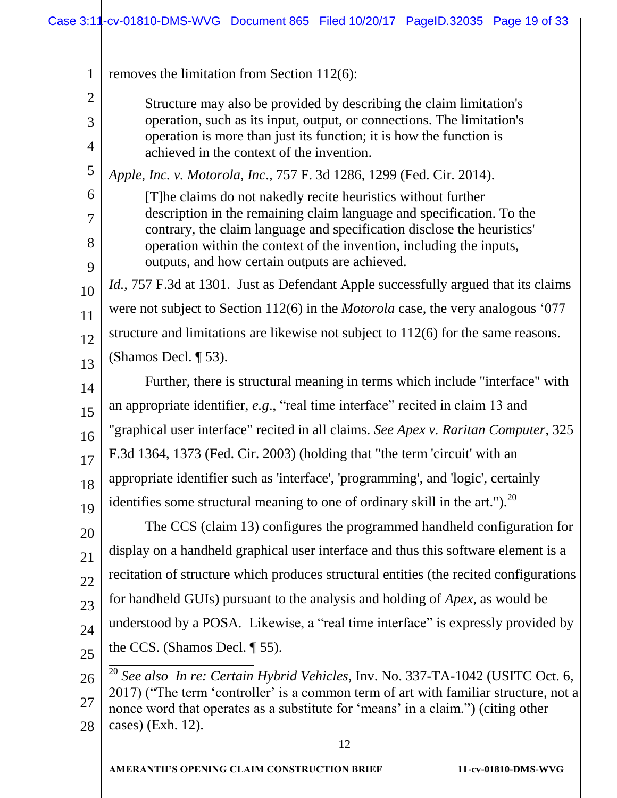| $\mathbf{1}$   | removes the limitation from Section $112(6)$ :                                                                                                |
|----------------|-----------------------------------------------------------------------------------------------------------------------------------------------|
| $\overline{2}$ | Structure may also be provided by describing the claim limitation's                                                                           |
| 3              | operation, such as its input, output, or connections. The limitation's<br>operation is more than just its function; it is how the function is |
| $\overline{4}$ | achieved in the context of the invention.                                                                                                     |
| 5              | Apple, Inc. v. Motorola, Inc., 757 F. 3d 1286, 1299 (Fed. Cir. 2014).                                                                         |
| 6              | [T] he claims do not nakedly recite heuristics without further<br>description in the remaining claim language and specification. To the       |
| $\overline{7}$ | contrary, the claim language and specification disclose the heuristics'                                                                       |
| 8              | operation within the context of the invention, including the inputs,<br>outputs, and how certain outputs are achieved.                        |
| 9              | <i>Id.</i> , 757 F.3d at 1301. Just as Defendant Apple successfully argued that its claims                                                    |
| 10             | were not subject to Section 112(6) in the <i>Motorola</i> case, the very analogous '077                                                       |
| 11             | structure and limitations are likewise not subject to $112(6)$ for the same reasons.                                                          |
| 12             | (Shamos Decl. $\P$ 53).                                                                                                                       |
| 13             | Further, there is structural meaning in terms which include "interface" with                                                                  |
| 14             | an appropriate identifier, e.g., "real time interface" recited in claim 13 and                                                                |
| 15             | "graphical user interface" recited in all claims. See Apex v. Raritan Computer, 325                                                           |
| 16<br>17       | F.3d 1364, 1373 (Fed. Cir. 2003) (holding that "the term 'circuit' with an                                                                    |
| 18             | appropriate identifier such as 'interface', 'programming', and 'logic', certainly                                                             |
| 19             | identifies some structural meaning to one of ordinary skill in the art."). <sup>20</sup>                                                      |
| 20             | The CCS (claim 13) configures the programmed handheld configuration for                                                                       |
| 21             | display on a handheld graphical user interface and thus this software element is a                                                            |
| 22             | recitation of structure which produces structural entities (the recited configurations                                                        |
| 23             | for handheld GUIs) pursuant to the analysis and holding of <i>Apex</i> , as would be                                                          |
| 24             | understood by a POSA. Likewise, a "real time interface" is expressly provided by                                                              |
| 25             | the CCS. (Shamos Decl. $\P$ 55).                                                                                                              |
| 26             | $^{20}$ See also In re: Certain Hybrid Vehicles, Inv. No. 337-TA-1042 (USITC Oct. 6,                                                          |
| 27             | 2017) ("The term 'controller' is a common term of art with familiar structure, not a                                                          |
| 28             | nonce word that operates as a substitute for 'means' in a claim.") (citing other<br>cases) (Exh. 12).                                         |
|                | 12                                                                                                                                            |
|                |                                                                                                                                               |

**AMERANTH'S OPENING CLAIM CONSTRUCTION BRIEF 11-cv-01810-DMS-WVG**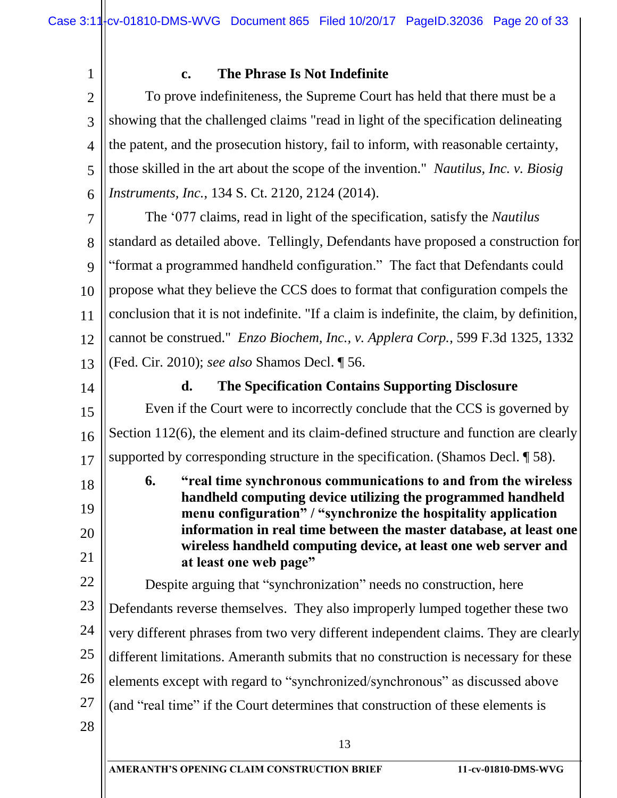#### **c. The Phrase Is Not Indefinite**

2 3 4 5 6 To prove indefiniteness, the Supreme Court has held that there must be a showing that the challenged claims "read in light of the specification delineating the patent, and the prosecution history, fail to inform, with reasonable certainty, those skilled in the art about the scope of the invention." *Nautilus, Inc. v. Biosig Instruments, Inc.*, 134 S. Ct. 2120, 2124 (2014).

7 8 9 10 11 12 13 The '077 claims, read in light of the specification, satisfy the *Nautilus* standard as detailed above. Tellingly, Defendants have proposed a construction for "format a programmed handheld configuration." The fact that Defendants could propose what they believe the CCS does to format that configuration compels the conclusion that it is not indefinite. "If a claim is indefinite, the claim, by definition, cannot be construed." *Enzo Biochem, Inc., v. Applera Corp.*, 599 F.3d 1325, 1332 (Fed. Cir. 2010); *see also* Shamos Decl. ¶ 56.

14

18

19

20

21

1

#### **d. The Specification Contains Supporting Disclosure**

15 16 17 Even if the Court were to incorrectly conclude that the CCS is governed by Section 112(6), the element and its claim-defined structure and function are clearly supported by corresponding structure in the specification. (Shamos Decl. ¶ 58).

**6. "real time synchronous communications to and from the wireless handheld computing device utilizing the programmed handheld menu configuration" / "synchronize the hospitality application information in real time between the master database, at least one wireless handheld computing device, at least one web server and at least one web page"**

22 23 24 25 26 27 Despite arguing that "synchronization" needs no construction, here Defendants reverse themselves. They also improperly lumped together these two very different phrases from two very different independent claims. They are clearly different limitations. Ameranth submits that no construction is necessary for these elements except with regard to "synchronized/synchronous" as discussed above (and "real time" if the Court determines that construction of these elements is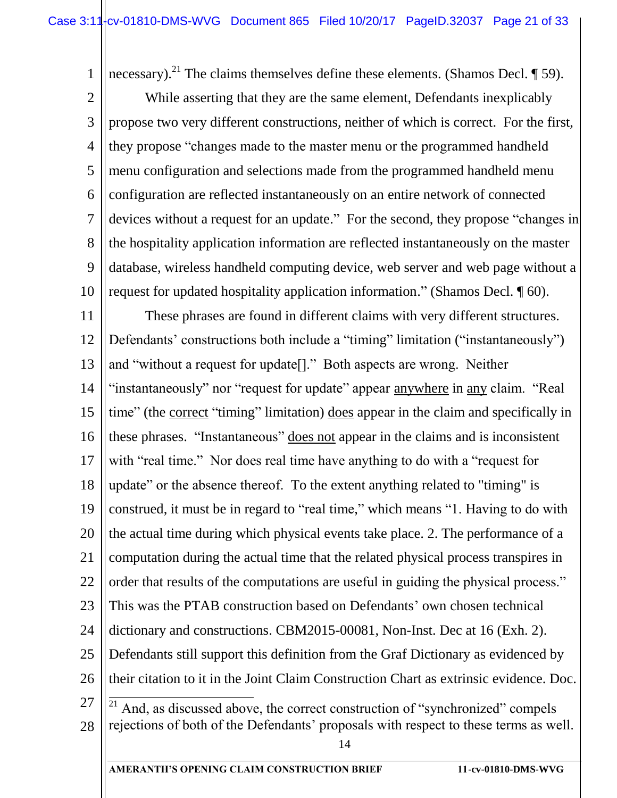1 2 3 4 5 6 7 8 9 10 necessary).<sup>21</sup> The claims themselves define these elements. (Shamos Decl.  $\P$  59). While asserting that they are the same element, Defendants inexplicably propose two very different constructions, neither of which is correct. For the first, they propose "changes made to the master menu or the programmed handheld menu configuration and selections made from the programmed handheld menu configuration are reflected instantaneously on an entire network of connected devices without a request for an update." For the second, they propose "changes in the hospitality application information are reflected instantaneously on the master database, wireless handheld computing device, web server and web page without a request for updated hospitality application information." (Shamos Decl. ¶ 60).

14 11 12 13 14 15 16 17 18 19 20 21 22 23 24 25 26 27 28 These phrases are found in different claims with very different structures. Defendants' constructions both include a "timing" limitation ("instantaneously") and "without a request for update[]." Both aspects are wrong. Neither "instantaneously" nor "request for update" appear anywhere in any claim. "Real time" (the correct "timing" limitation) does appear in the claim and specifically in these phrases. "Instantaneous" does not appear in the claims and is inconsistent with "real time." Nor does real time have anything to do with a "request for update" or the absence thereof. To the extent anything related to "timing" is construed, it must be in regard to "real time," which means "1. Having to do with the actual time during which physical events take place. 2. The performance of a computation during the actual time that the related physical process transpires in order that results of the computations are useful in guiding the physical process." This was the PTAB construction based on Defendants' own chosen technical dictionary and constructions. CBM2015-00081, Non-Inst. Dec at 16 (Exh. 2). Defendants still support this definition from the Graf Dictionary as evidenced by their citation to it in the Joint Claim Construction Chart as extrinsic evidence. Doc.  $\overline{a}$ And, as discussed above, the correct construction of "synchronized" compels rejections of both of the Defendants' proposals with respect to these terms as well.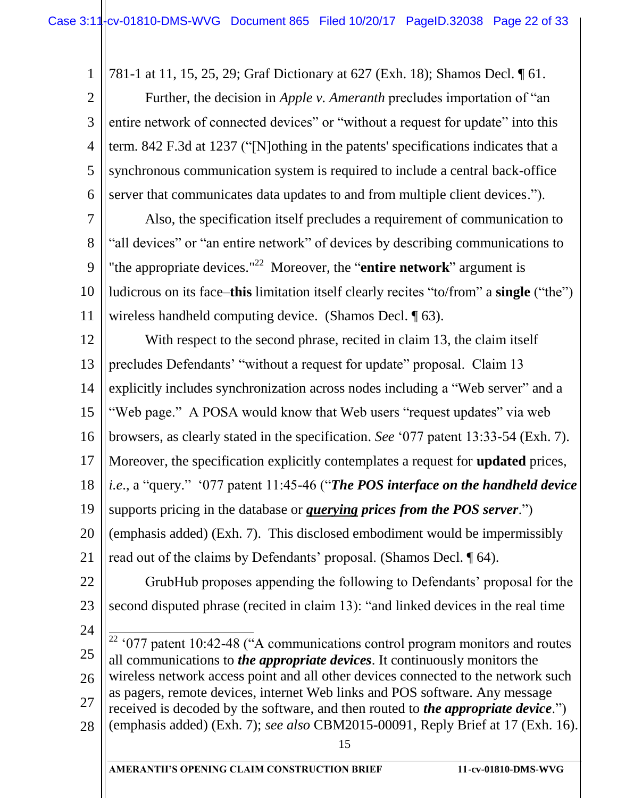1

781-1 at 11, 15, 25, 29; Graf Dictionary at 627 (Exh. 18); Shamos Decl. ¶ 61.

2 3 4 5 6 Further, the decision in *Apple v. Ameranth* precludes importation of "an entire network of connected devices" or "without a request for update" into this term. 842 F.3d at 1237 ("[N]othing in the patents' specifications indicates that a synchronous communication system is required to include a central back-office server that communicates data updates to and from multiple client devices.").

7 8 9 10 11 Also, the specification itself precludes a requirement of communication to "all devices" or "an entire network" of devices by describing communications to "the appropriate devices."<sup>22</sup> Moreover, the "**entire network**" argument is ludicrous on its face–**this** limitation itself clearly recites "to/from" a **single** ("the") wireless handheld computing device. (Shamos Decl. ¶ 63).

12 13 14 15 16 17 18 19 20 21 22 23 24 25 With respect to the second phrase, recited in claim 13, the claim itself precludes Defendants' "without a request for update" proposal. Claim 13 explicitly includes synchronization across nodes including a "Web server" and a "Web page." A POSA would know that Web users "request updates" via web browsers, as clearly stated in the specification. *See* '077 patent 13:33-54 (Exh. 7). Moreover, the specification explicitly contemplates a request for **updated** prices, *i.e*., a "query." '077 patent 11:45-46 ("*The POS interface on the handheld device* supports pricing in the database or *querying prices from the POS server*.") (emphasis added) (Exh. 7). This disclosed embodiment would be impermissibly read out of the claims by Defendants' proposal. (Shamos Decl. ¶ 64). GrubHub proposes appending the following to Defendants' proposal for the second disputed phrase (recited in claim 13): "and linked devices in the real time  $\overline{a}$  $22^{\circ}$  '077 patent 10:42-48 ("A communications control program monitors and routes all communications to *the appropriate devices*. It continuously monitors the

26 27 28 wireless network access point and all other devices connected to the network such as pagers, remote devices, internet Web links and POS software. Any message received is decoded by the software, and then routed to *the appropriate device*.") (emphasis added) (Exh. 7); *see also* CBM2015-00091, Reply Brief at 17 (Exh. 16).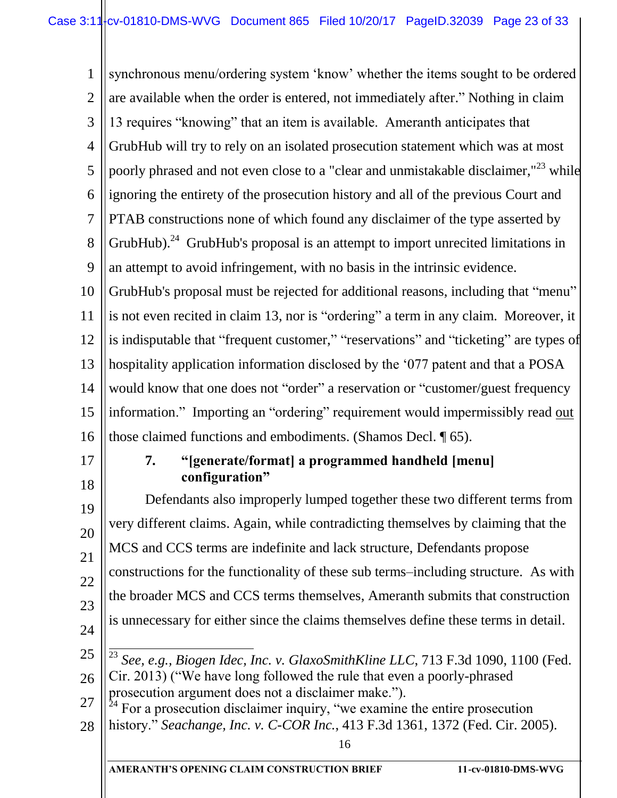1 2 3 4 5 6 7 8 9 10 11 12 13 14 15 16 17 18 synchronous menu/ordering system 'know' whether the items sought to be ordered are available when the order is entered, not immediately after." Nothing in claim 13 requires "knowing" that an item is available. Ameranth anticipates that GrubHub will try to rely on an isolated prosecution statement which was at most poorly phrased and not even close to a "clear and unmistakable disclaimer,"<sup>23</sup> while ignoring the entirety of the prosecution history and all of the previous Court and PTAB constructions none of which found any disclaimer of the type asserted by GrubHub).<sup>24</sup> GrubHub's proposal is an attempt to import unrecited limitations in an attempt to avoid infringement, with no basis in the intrinsic evidence. GrubHub's proposal must be rejected for additional reasons, including that "menu" is not even recited in claim 13, nor is "ordering" a term in any claim. Moreover, it is indisputable that "frequent customer," "reservations" and "ticketing" are types of hospitality application information disclosed by the '077 patent and that a POSA would know that one does not "order" a reservation or "customer/guest frequency information." Importing an "ordering" requirement would impermissibly read out those claimed functions and embodiments. (Shamos Decl. ¶ 65). **7. "[generate/format] a programmed handheld [menu] configuration"**

19 20 21 22 23 24 Defendants also improperly lumped together these two different terms from very different claims. Again, while contradicting themselves by claiming that the MCS and CCS terms are indefinite and lack structure, Defendants propose constructions for the functionality of these sub terms–including structure. As with the broader MCS and CCS terms themselves, Ameranth submits that construction is unnecessary for either since the claims themselves define these terms in detail.  $\overline{a}$ 

- 25
- 26

<sup>23</sup> *See, e.g., Biogen Idec, Inc. v. GlaxoSmithKline LLC*, 713 F.3d 1090, 1100 (Fed. Cir. 2013) ("We have long followed the rule that even a poorly-phrased prosecution argument does not a disclaimer make.").

27 28  $24$  For a prosecution disclaimer inquiry, "we examine the entire prosecution history." *Seachange, Inc. v. C-COR Inc.*, 413 F.3d 1361, 1372 (Fed. Cir. 2005).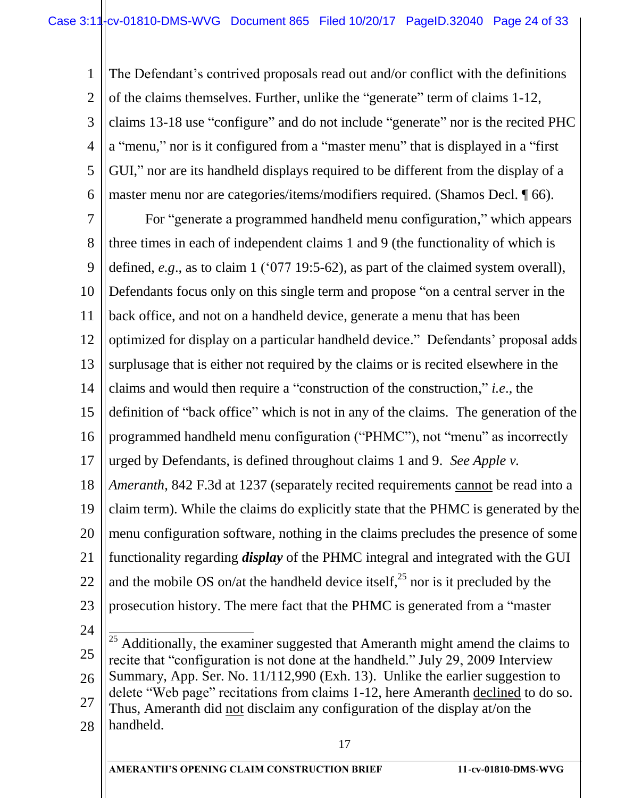1 2 3 4 5 6 The Defendant's contrived proposals read out and/or conflict with the definitions of the claims themselves. Further, unlike the "generate" term of claims 1-12, claims 13-18 use "configure" and do not include "generate" nor is the recited PHC a "menu," nor is it configured from a "master menu" that is displayed in a "first GUI," nor are its handheld displays required to be different from the display of a master menu nor are categories/items/modifiers required. (Shamos Decl. ¶ 66).

7 8 9 10 11 12 13 14 15 16 17 18 19 20 21 22 23 24 For "generate a programmed handheld menu configuration," which appears three times in each of independent claims 1 and 9 (the functionality of which is defined, *e.g*., as to claim 1 ('077 19:5-62), as part of the claimed system overall), Defendants focus only on this single term and propose "on a central server in the back office, and not on a handheld device, generate a menu that has been optimized for display on a particular handheld device." Defendants' proposal adds surplusage that is either not required by the claims or is recited elsewhere in the claims and would then require a "construction of the construction," *i.e*., the definition of "back office" which is not in any of the claims. The generation of the programmed handheld menu configuration ("PHMC"), not "menu" as incorrectly urged by Defendants, is defined throughout claims 1 and 9. *See Apple v. Ameranth*, 842 F.3d at 1237 (separately recited requirements cannot be read into a claim term). While the claims do explicitly state that the PHMC is generated by the menu configuration software, nothing in the claims precludes the presence of some functionality regarding *display* of the PHMC integral and integrated with the GUI and the mobile OS on/at the handheld device itself,  $^{25}$  nor is it precluded by the prosecution history. The mere fact that the PHMC is generated from a "master  $\overline{a}$ 

<sup>25</sup> 26 27 28 <sup>25</sup> Additionally, the examiner suggested that Ameranth might amend the claims to recite that "configuration is not done at the handheld." July 29, 2009 Interview Summary, App. Ser. No. 11/112,990 (Exh. 13). Unlike the earlier suggestion to delete "Web page" recitations from claims 1-12, here Ameranth declined to do so. Thus, Ameranth did not disclaim any configuration of the display at/on the handheld.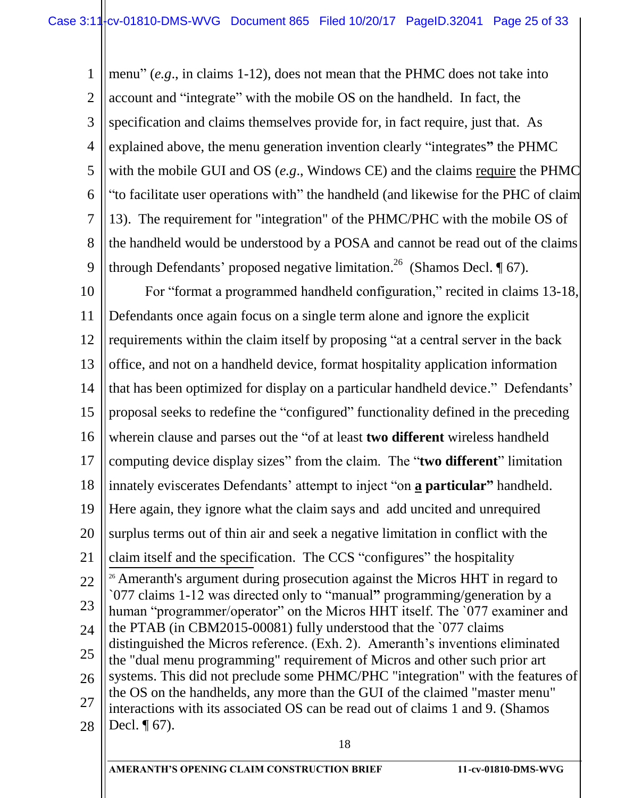1 2 3 4 5 6 7 8 9 menu" (*e.g*., in claims 1-12), does not mean that the PHMC does not take into account and "integrate" with the mobile OS on the handheld. In fact, the specification and claims themselves provide for, in fact require, just that. As explained above, the menu generation invention clearly "integrates**"** the PHMC with the mobile GUI and OS (*e.g*., Windows CE) and the claims require the PHMC "to facilitate user operations with" the handheld (and likewise for the PHC of claim 13). The requirement for "integration" of the PHMC/PHC with the mobile OS of the handheld would be understood by a POSA and cannot be read out of the claims through Defendants' proposed negative limitation.<sup>26</sup> (Shamos Decl.  $\P$  67).

18 10 11 12 13 14 15 16 17 18 19 20 21 22 23 24 25 26 27 28 For "format a programmed handheld configuration," recited in claims 13-18, Defendants once again focus on a single term alone and ignore the explicit requirements within the claim itself by proposing "at a central server in the back office, and not on a handheld device, format hospitality application information that has been optimized for display on a particular handheld device." Defendants' proposal seeks to redefine the "configured" functionality defined in the preceding wherein clause and parses out the "of at least **two different** wireless handheld computing device display sizes" from the claim. The "**two different**" limitation innately eviscerates Defendants' attempt to inject "on **a particular"** handheld. Here again, they ignore what the claim says and add uncited and unrequired surplus terms out of thin air and seek a negative limitation in conflict with the claim itself and the specification. The CCS "configures" the hospitality <sup>26</sup> Ameranth's argument during prosecution against the Micros HHT in regard to `077 claims 1-12 was directed only to "manual**"** programming/generation by a human "programmer/operator" on the Micros HHT itself. The '077 examiner and the PTAB (in CBM2015-00081) fully understood that the `077 claims distinguished the Micros reference. (Exh. 2). Ameranth's inventions eliminated the "dual menu programming" requirement of Micros and other such prior art systems. This did not preclude some PHMC/PHC "integration" with the features of the OS on the handhelds, any more than the GUI of the claimed "master menu" interactions with its associated OS can be read out of claims 1 and 9. (Shamos Decl.  $\P$  67).

**AMERANTH'S OPENING CLAIM CONSTRUCTION BRIEF 11-cv-01810-DMS-WVG**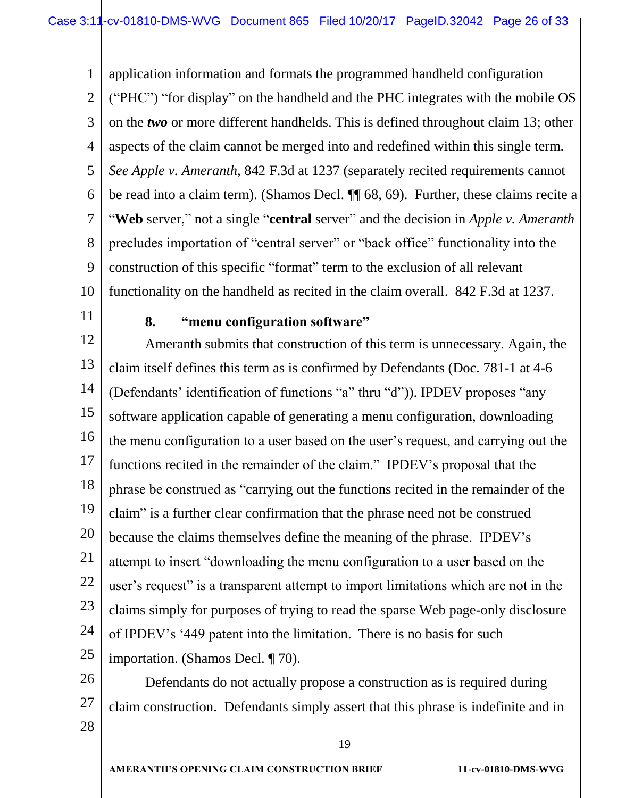1 2 3 4 5 6 7 8 9 10 application information and formats the programmed handheld configuration ("PHC") "for display" on the handheld and the PHC integrates with the mobile OS on the *two* or more different handhelds. This is defined throughout claim 13; other aspects of the claim cannot be merged into and redefined within this single term. *See Apple v. Ameranth*, 842 F.3d at 1237 (separately recited requirements cannot be read into a claim term). (Shamos Decl. ¶¶ 68, 69). Further, these claims recite a "**Web** server," not a single "**central** server" and the decision in *Apple v. Ameranth* precludes importation of "central server" or "back office" functionality into the construction of this specific "format" term to the exclusion of all relevant functionality on the handheld as recited in the claim overall. 842 F.3d at 1237.

11

#### **8. "menu configuration software"**

12 13 14 15 16 17 18 19 20 21 22 23 24 25 Ameranth submits that construction of this term is unnecessary. Again, the claim itself defines this term as is confirmed by Defendants (Doc. 781-1 at 4-6 (Defendants' identification of functions "a" thru "d")). IPDEV proposes "any software application capable of generating a menu configuration, downloading the menu configuration to a user based on the user's request, and carrying out the functions recited in the remainder of the claim." IPDEV's proposal that the phrase be construed as "carrying out the functions recited in the remainder of the claim" is a further clear confirmation that the phrase need not be construed because the claims themselves define the meaning of the phrase. IPDEV's attempt to insert "downloading the menu configuration to a user based on the user's request" is a transparent attempt to import limitations which are not in the claims simply for purposes of trying to read the sparse Web page-only disclosure of IPDEV's '449 patent into the limitation. There is no basis for such importation. (Shamos Decl. ¶ 70).

- 27 Defendants do not actually propose a construction as is required during claim construction. Defendants simply assert that this phrase is indefinite and in
- 28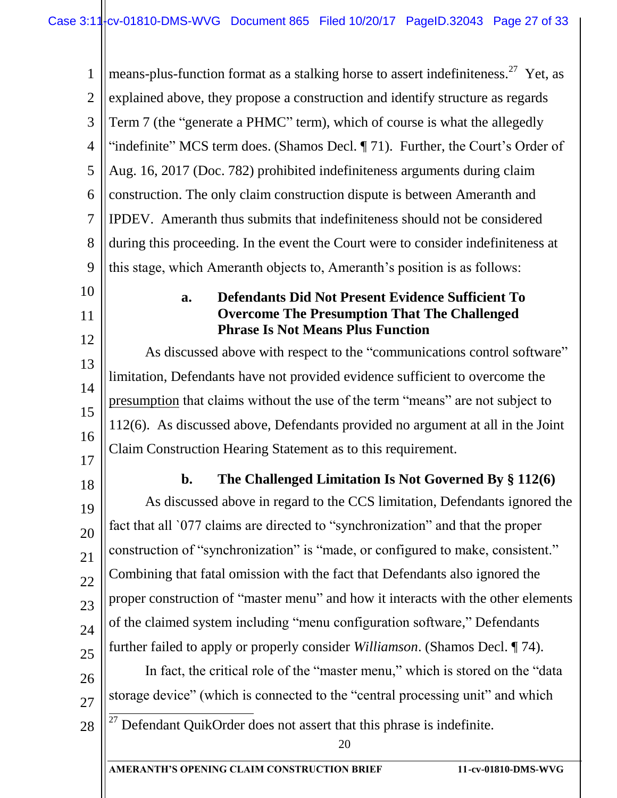1  $\mathcal{D}_{\mathcal{L}}$ 3 4 5 6 7 8 9 means-plus-function format as a stalking horse to assert indefiniteness.<sup>27</sup> Yet, as explained above, they propose a construction and identify structure as regards Term 7 (the "generate a PHMC" term), which of course is what the allegedly "indefinite" MCS term does. (Shamos Decl. ¶ 71). Further, the Court's Order of Aug. 16, 2017 (Doc. 782) prohibited indefiniteness arguments during claim construction. The only claim construction dispute is between Ameranth and IPDEV. Ameranth thus submits that indefiniteness should not be considered during this proceeding. In the event the Court were to consider indefiniteness at this stage, which Ameranth objects to, Ameranth's position is as follows:

# 10 11

#### **a. Defendants Did Not Present Evidence Sufficient To Overcome The Presumption That The Challenged Phrase Is Not Means Plus Function**

12 13 14 15 16 As discussed above with respect to the "communications control software" limitation, Defendants have not provided evidence sufficient to overcome the presumption that claims without the use of the term "means" are not subject to 112(6). As discussed above, Defendants provided no argument at all in the Joint Claim Construction Hearing Statement as to this requirement.

17 18

21

22

# **b. The Challenged Limitation Is Not Governed By § 112(6)**

19 20 23 24 25 As discussed above in regard to the CCS limitation, Defendants ignored the fact that all `077 claims are directed to "synchronization" and that the proper construction of "synchronization" is "made, or configured to make, consistent." Combining that fatal omission with the fact that Defendants also ignored the proper construction of "master menu" and how it interacts with the other elements of the claimed system including "menu configuration software," Defendants further failed to apply or properly consider *Williamson*. (Shamos Decl. ¶ 74).

26

In fact, the critical role of the "master menu," which is stored on the "data storage device" (which is connected to the "central processing unit" and which



27

 $\overline{a}$ 

 $27$  Defendant QuikOrder does not assert that this phrase is indefinite.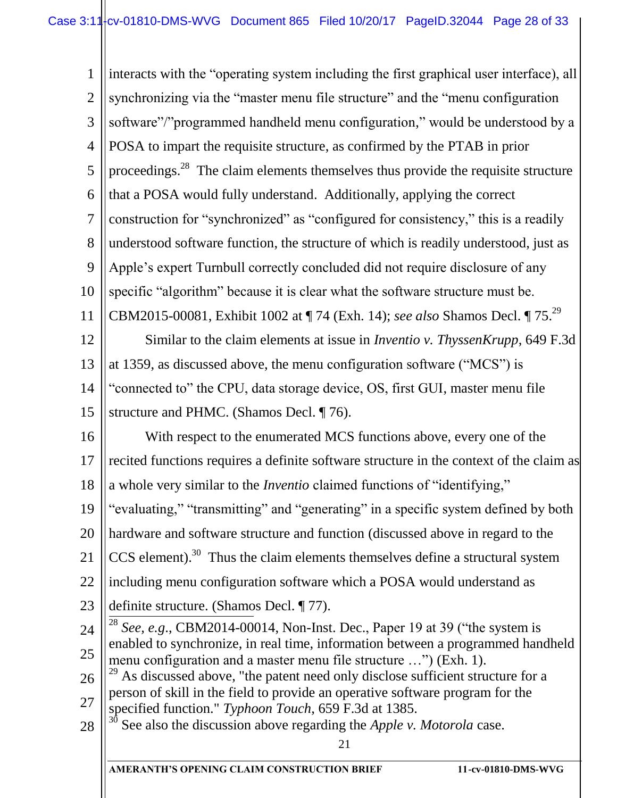21 **AMERANTH'S OPENING CLAIM CONSTRUCTION BRIEF 11-cv-01810-DMS-WVG** 1 2 3 4 5 6 7 8 9 10 11 12 13 14 15 16 17 18 19 20 21 22 23 24 25 26 27 28 interacts with the "operating system including the first graphical user interface), all synchronizing via the "master menu file structure" and the "menu configuration software"/"programmed handheld menu configuration," would be understood by a POSA to impart the requisite structure, as confirmed by the PTAB in prior proceedings. $^{28}$  The claim elements themselves thus provide the requisite structure that a POSA would fully understand. Additionally, applying the correct construction for "synchronized" as "configured for consistency," this is a readily understood software function, the structure of which is readily understood, just as Apple's expert Turnbull correctly concluded did not require disclosure of any specific "algorithm" because it is clear what the software structure must be. CBM2015-00081, Exhibit 1002 at ¶ 74 (Exh. 14); *see also* Shamos Decl. ¶ 75. 29 Similar to the claim elements at issue in *Inventio v. ThyssenKrupp*, 649 F.3d at 1359, as discussed above, the menu configuration software ("MCS") is "connected to" the CPU, data storage device, OS, first GUI, master menu file structure and PHMC. (Shamos Decl. ¶ 76). With respect to the enumerated MCS functions above, every one of the recited functions requires a definite software structure in the context of the claim as a whole very similar to the *Inventio* claimed functions of "identifying," "evaluating," "transmitting" and "generating" in a specific system defined by both hardware and software structure and function (discussed above in regard to the  $CCS$  element).<sup>30</sup> Thus the claim elements themselves define a structural system including menu configuration software which a POSA would understand as definite structure. (Shamos Decl. ¶ 77).  $\frac{1}{2}$ <sup>28</sup> *See, e.g*., CBM2014-00014, Non-Inst. Dec., Paper 19 at 39 ("the system is enabled to synchronize, in real time, information between a programmed handheld menu configuration and a master menu file structure …") (Exh. 1).  $^{29}$  As discussed above, "the patent need only disclose sufficient structure for a person of skill in the field to provide an operative software program for the specified function." *Typhoon Touch*, 659 F.3d at 1385. <sup>30</sup> See also the discussion above regarding the *Apple v. Motorola* case.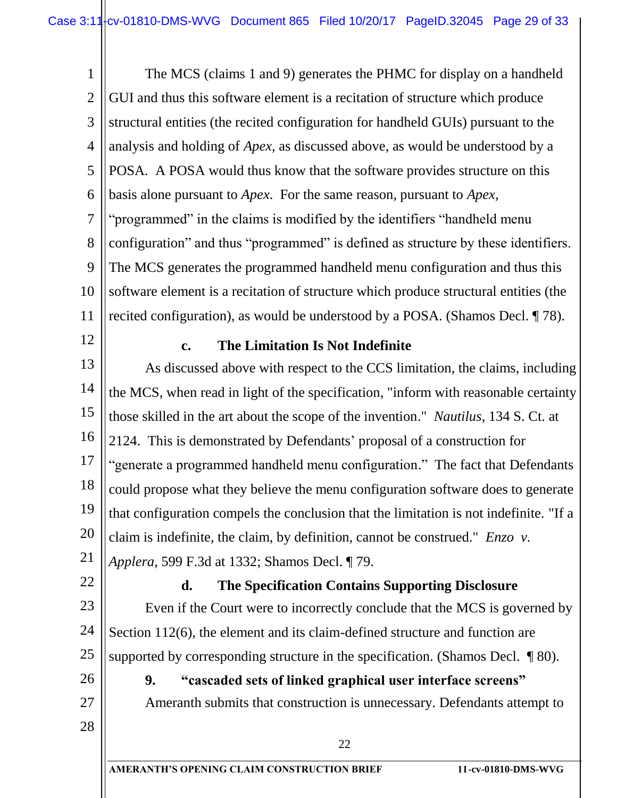1 2 3 4 5 6 7 8 9 10 11 The MCS (claims 1 and 9) generates the PHMC for display on a handheld GUI and thus this software element is a recitation of structure which produce structural entities (the recited configuration for handheld GUIs) pursuant to the analysis and holding of *Apex,* as discussed above*,* as would be understood by a POSA*.* A POSA would thus know that the software provides structure on this basis alone pursuant to *Apex*. For the same reason, pursuant to *Apex*, "programmed" in the claims is modified by the identifiers "handheld menu configuration" and thus "programmed" is defined as structure by these identifiers. The MCS generates the programmed handheld menu configuration and thus this software element is a recitation of structure which produce structural entities (the recited configuration), as would be understood by a POSA. (Shamos Decl. ¶ 78).

12

#### **c. The Limitation Is Not Indefinite**

13 14 15 16 17 18 19 20 21 As discussed above with respect to the CCS limitation, the claims, including the MCS, when read in light of the specification, "inform with reasonable certainty those skilled in the art about the scope of the invention." *Nautilus*, 134 S. Ct. at 2124. This is demonstrated by Defendants' proposal of a construction for "generate a programmed handheld menu configuration." The fact that Defendants could propose what they believe the menu configuration software does to generate that configuration compels the conclusion that the limitation is not indefinite. "If a claim is indefinite, the claim, by definition, cannot be construed." *Enzo v. Applera*, 599 F.3d at 1332; Shamos Decl. ¶ 79.

22

# **d. The Specification Contains Supporting Disclosure**

23 24 25 Even if the Court were to incorrectly conclude that the MCS is governed by Section 112(6), the element and its claim-defined structure and function are supported by corresponding structure in the specification. (Shamos Decl. ¶ 80).

26 27

28

# **9. "cascaded sets of linked graphical user interface screens"** Ameranth submits that construction is unnecessary. Defendants attempt to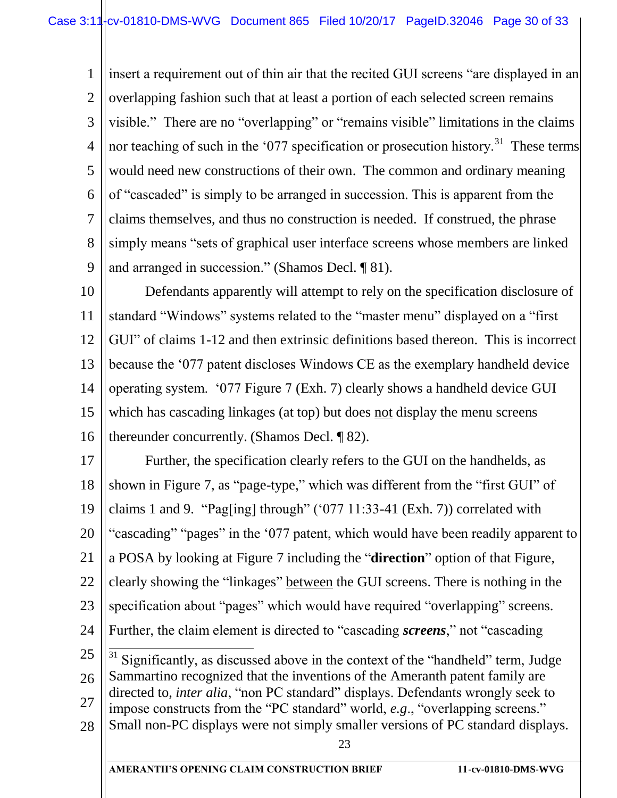1 2 3 4 5 6 7 8 9 insert a requirement out of thin air that the recited GUI screens "are displayed in an overlapping fashion such that at least a portion of each selected screen remains visible." There are no "overlapping" or "remains visible" limitations in the claims nor teaching of such in the '077 specification or prosecution history.<sup>31</sup> These terms would need new constructions of their own. The common and ordinary meaning of "cascaded" is simply to be arranged in succession. This is apparent from the claims themselves, and thus no construction is needed. If construed, the phrase simply means "sets of graphical user interface screens whose members are linked and arranged in succession." (Shamos Decl. ¶ 81).

10 11 12 13 14 15 16 Defendants apparently will attempt to rely on the specification disclosure of standard "Windows" systems related to the "master menu" displayed on a "first GUI" of claims 1-12 and then extrinsic definitions based thereon. This is incorrect because the '077 patent discloses Windows CE as the exemplary handheld device operating system. '077 Figure 7 (Exh. 7) clearly shows a handheld device GUI which has cascading linkages (at top) but does not display the menu screens thereunder concurrently. (Shamos Decl. ¶ 82).

23 17 18 19 20 21 22 23 24 25 26 27 28 Further, the specification clearly refers to the GUI on the handhelds, as shown in Figure 7, as "page-type," which was different from the "first GUI" of claims 1 and 9. "Pag[ing] through" ('077 11:33-41 (Exh. 7)) correlated with "cascading" "pages" in the '077 patent, which would have been readily apparent to a POSA by looking at Figure 7 including the "**direction**" option of that Figure, clearly showing the "linkages" between the GUI screens. There is nothing in the specification about "pages" which would have required "overlapping" screens. Further, the claim element is directed to "cascading *screens*," not "cascading  $\overline{a}$ Significantly, as discussed above in the context of the "handheld" term, Judge Sammartino recognized that the inventions of the Ameranth patent family are directed to, *inter alia*, "non PC standard" displays. Defendants wrongly seek to impose constructs from the "PC standard" world, *e.g*., "overlapping screens." Small non-PC displays were not simply smaller versions of PC standard displays.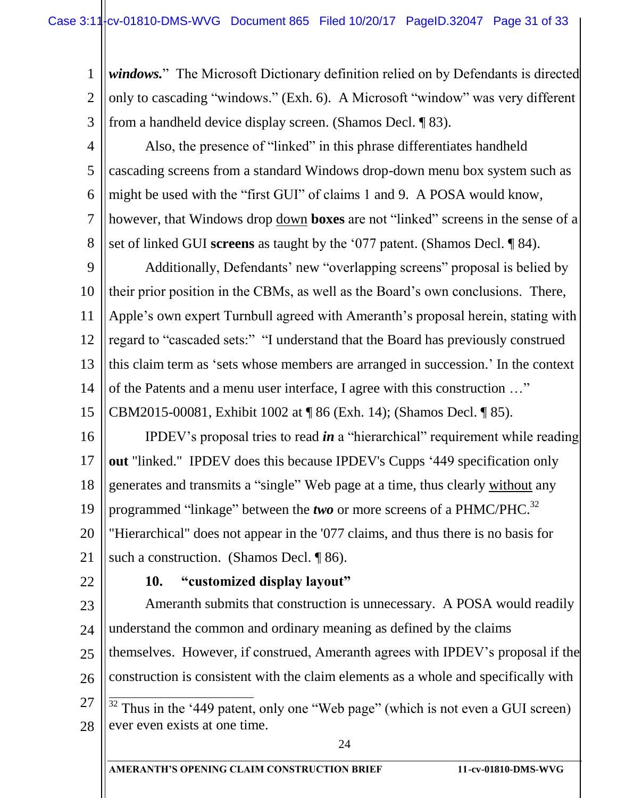1 2 3 *windows.*" The Microsoft Dictionary definition relied on by Defendants is directed only to cascading "windows." (Exh. 6). A Microsoft "window" was very different from a handheld device display screen. (Shamos Decl. ¶ 83).

4 5 6 7 8 Also, the presence of "linked" in this phrase differentiates handheld cascading screens from a standard Windows drop-down menu box system such as might be used with the "first GUI" of claims 1 and 9. A POSA would know, however, that Windows drop down **boxes** are not "linked" screens in the sense of a set of linked GUI **screens** as taught by the '077 patent. (Shamos Decl. ¶ 84).

9 10 11 12 13 14 Additionally, Defendants' new "overlapping screens" proposal is belied by their prior position in the CBMs, as well as the Board's own conclusions. There, Apple's own expert Turnbull agreed with Ameranth's proposal herein, stating with regard to "cascaded sets:" "I understand that the Board has previously construed this claim term as 'sets whose members are arranged in succession.' In the context of the Patents and a menu user interface, I agree with this construction …"

15 CBM2015-00081, Exhibit 1002 at ¶ 86 (Exh. 14); (Shamos Decl. ¶ 85).

16 17 18 19 20 21 IPDEV's proposal tries to read *in* a "hierarchical" requirement while reading **out** "linked." IPDEV does this because IPDEV's Cupps '449 specification only generates and transmits a "single" Web page at a time, thus clearly without any programmed "linkage" between the *two* or more screens of a PHMC/PHC.<sup>32</sup> "Hierarchical" does not appear in the '077 claims, and thus there is no basis for such a construction. (Shamos Decl. ¶ 86).

22

# **10. "customized display layout"**

24 23 24 25 26 27 28 Ameranth submits that construction is unnecessary. A POSA would readily understand the common and ordinary meaning as defined by the claims themselves. However, if construed, Ameranth agrees with IPDEV's proposal if the construction is consistent with the claim elements as a whole and specifically with  $\overline{a}$  $32$  Thus in the '449 patent, only one "Web page" (which is not even a GUI screen) ever even exists at one time.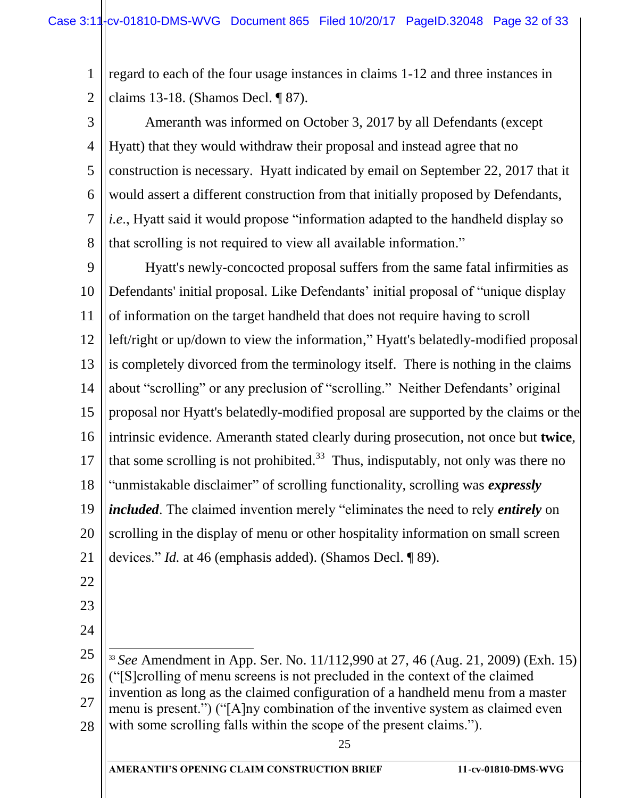1 2 regard to each of the four usage instances in claims 1-12 and three instances in claims 13-18. (Shamos Decl. ¶ 87).

3 4 5 6 7 8 Ameranth was informed on October 3, 2017 by all Defendants (except Hyatt) that they would withdraw their proposal and instead agree that no construction is necessary. Hyatt indicated by email on September 22, 2017 that it would assert a different construction from that initially proposed by Defendants, *i.e*., Hyatt said it would propose "information adapted to the handheld display so that scrolling is not required to view all available information."

9 10 11 12 13 14 15 16 17 18 19 20 21 Hyatt's newly-concocted proposal suffers from the same fatal infirmities as Defendants' initial proposal. Like Defendants' initial proposal of "unique display of information on the target handheld that does not require having to scroll left/right or up/down to view the information," Hyatt's belatedly-modified proposal is completely divorced from the terminology itself. There is nothing in the claims about "scrolling" or any preclusion of "scrolling." Neither Defendants' original proposal nor Hyatt's belatedly-modified proposal are supported by the claims or the intrinsic evidence. Ameranth stated clearly during prosecution, not once but **twice**, that some scrolling is not prohibited.<sup>33</sup> Thus, indisputably, not only was there no "unmistakable disclaimer" of scrolling functionality, scrolling was *expressly included*. The claimed invention merely "eliminates the need to rely *entirely* on scrolling in the display of menu or other hospitality information on small screen devices." *Id.* at 46 (emphasis added). (Shamos Decl. ¶ 89).

- 22
- 23
- 24

25 26 27 28  $\overline{a}$ <sup>33</sup> *See* Amendment in App. Ser. No. 11/112,990 at 27, 46 (Aug. 21, 2009) (Exh. 15) ("[S]crolling of menu screens is not precluded in the context of the claimed invention as long as the claimed configuration of a handheld menu from a master menu is present.") ("[A]ny combination of the inventive system as claimed even with some scrolling falls within the scope of the present claims.").